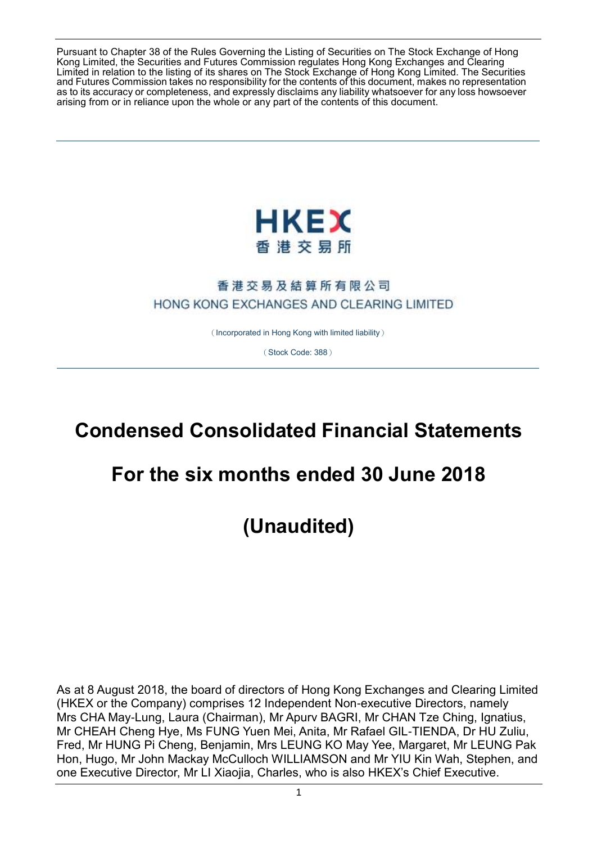Pursuant to Chapter 38 of the Rules Governing the Listing of Securities on The Stock Exchange of Hong Kong Limited, the Securities and Futures Commission regulates Hong Kong Exchanges and Clearing Limited in relation to the listing of its shares on The Stock Exchange of Hong Kong Limited. The Securities and Futures Commission takes no responsibility for the contents of this document, makes no representation as to its accuracy or completeness, and expressly disclaims any liability whatsoever for any loss howsoever arising from or in reliance upon the whole or any part of the contents of this document.



# 香港交易及結算所有限公司 HONG KONG EXCHANGES AND CLEARING LIMITED

(Incorporated in Hong Kong with limited liability)

(Stock Code: 388)

# **Condensed Consolidated Financial Statements**

# **For the six months ended 30 June 2018**

**(Unaudited)**

As at 8 August 2018, the board of directors of Hong Kong Exchanges and Clearing Limited (HKEX or the Company) comprises 12 Independent Non-executive Directors, namely Mrs CHA May-Lung, Laura (Chairman), Mr Apurv BAGRI, Mr CHAN Tze Ching, Ignatius, Mr CHEAH Cheng Hye, Ms FUNG Yuen Mei, Anita, Mr Rafael GIL-TIENDA, Dr HU Zuliu, Fred, Mr HUNG Pi Cheng, Benjamin, Mrs LEUNG KO May Yee, Margaret, Mr LEUNG Pak Hon, Hugo, Mr John Mackay McCulloch WILLIAMSON and Mr YIU Kin Wah, Stephen, and one Executive Director, Mr LI Xiaojia, Charles, who is also HKEX's Chief Executive.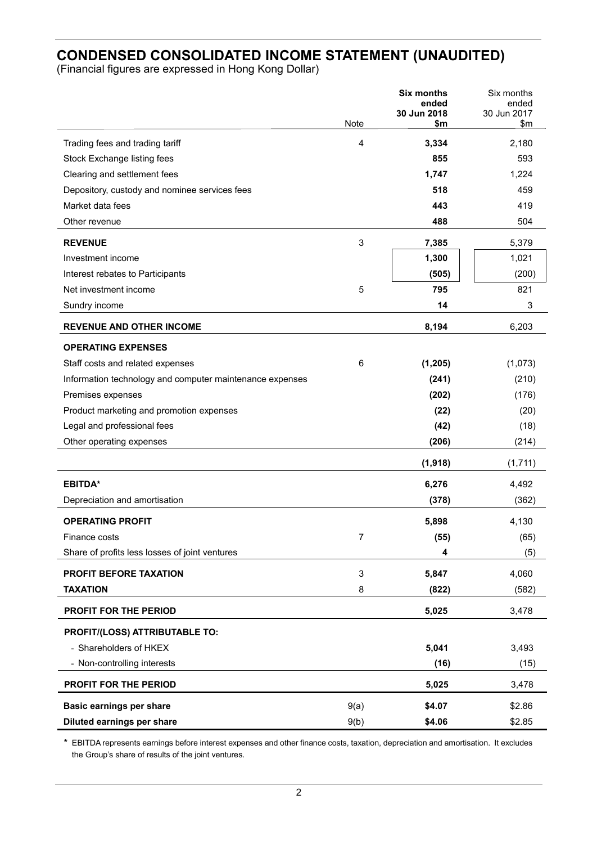# **CONDENSED CONSOLIDATED INCOME STATEMENT (UNAUDITED)**

(Financial figures are expressed in Hong Kong Dollar)

|                                                          |             | <b>Six months</b><br>ended | Six months<br>ended         |
|----------------------------------------------------------|-------------|----------------------------|-----------------------------|
|                                                          | <b>Note</b> | 30 Jun 2018<br>\$m         | 30 Jun 2017<br>$\mathsf{m}$ |
| Trading fees and trading tariff                          | 4           | 3,334                      | 2,180                       |
| Stock Exchange listing fees                              |             | 855                        | 593                         |
| Clearing and settlement fees                             |             | 1,747                      | 1,224                       |
| Depository, custody and nominee services fees            |             | 518                        | 459                         |
| Market data fees                                         |             | 443                        | 419                         |
| Other revenue                                            |             | 488                        | 504                         |
| <b>REVENUE</b>                                           | 3           | 7,385                      | 5,379                       |
| Investment income                                        |             | 1,300                      | 1,021                       |
| Interest rebates to Participants                         |             | (505)                      | (200)                       |
| Net investment income                                    | 5           | 795                        | 821                         |
| Sundry income                                            |             | 14                         | 3                           |
| <b>REVENUE AND OTHER INCOME</b>                          |             | 8,194                      | 6,203                       |
| <b>OPERATING EXPENSES</b>                                |             |                            |                             |
| Staff costs and related expenses                         | 6           | (1, 205)                   | (1,073)                     |
| Information technology and computer maintenance expenses |             | (241)                      | (210)                       |
| Premises expenses                                        |             | (202)                      | (176)                       |
| Product marketing and promotion expenses                 |             | (22)                       | (20)                        |
| Legal and professional fees                              |             | (42)                       | (18)                        |
| Other operating expenses                                 |             | (206)                      | (214)                       |
|                                                          |             | (1,918)                    | (1,711)                     |
| <b>EBITDA*</b>                                           |             | 6,276                      | 4,492                       |
| Depreciation and amortisation                            |             | (378)                      | (362)                       |
| <b>OPERATING PROFIT</b>                                  |             | 5,898                      | 4,130                       |
| Finance costs                                            | 7           | (55)                       | (65)                        |
| Share of profits less losses of joint ventures           |             | 4                          | (5)                         |
| PROFIT BEFORE TAXATION                                   | 3           | 5,847                      | 4,060                       |
| <b>TAXATION</b>                                          | 8           | (822)                      | (582)                       |
| <b>PROFIT FOR THE PERIOD</b>                             |             | 5,025                      | 3,478                       |
| PROFIT/(LOSS) ATTRIBUTABLE TO:                           |             |                            |                             |
| - Shareholders of HKEX                                   |             | 5,041                      | 3,493                       |
| - Non-controlling interests                              |             | (16)                       | (15)                        |
| PROFIT FOR THE PERIOD                                    |             | 5,025                      | 3,478                       |
| <b>Basic earnings per share</b>                          | 9(a)        | \$4.07                     | \$2.86                      |
| Diluted earnings per share                               | 9(b)        | \$4.06                     | \$2.85                      |

**\*** EBITDA represents earnings before interest expenses and other finance costs, taxation, depreciation and amortisation. It excludes the Group's share of results of the joint ventures.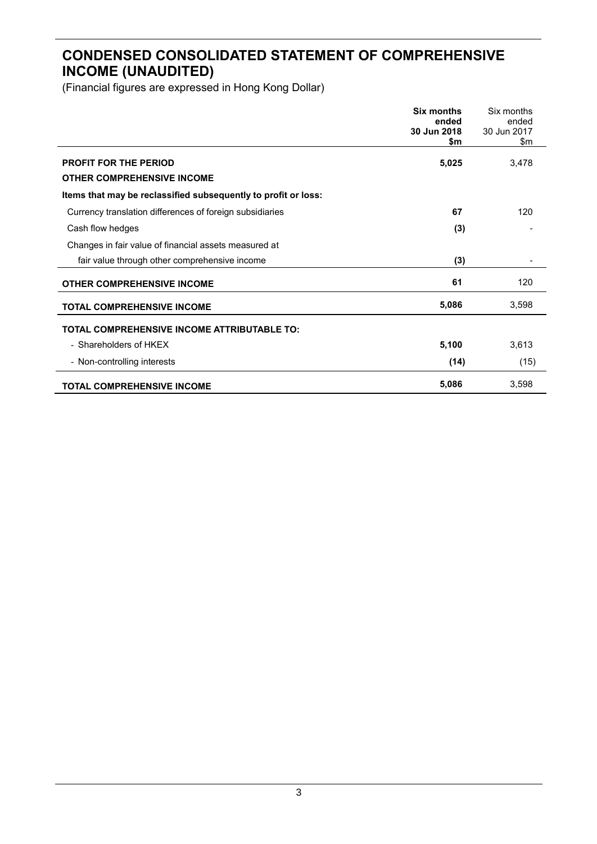# **CONDENSED CONSOLIDATED STATEMENT OF COMPREHENSIVE INCOME (UNAUDITED)**

|                                                                   | <b>Six months</b><br>ended<br>30 Jun 2018<br>\$m | Six months<br>ended<br>30 Jun 2017<br>\$m |
|-------------------------------------------------------------------|--------------------------------------------------|-------------------------------------------|
| <b>PROFIT FOR THE PERIOD</b><br><b>OTHER COMPREHENSIVE INCOME</b> | 5,025                                            | 3,478                                     |
| Items that may be reclassified subsequently to profit or loss:    |                                                  |                                           |
| Currency translation differences of foreign subsidiaries          | 67                                               | 120                                       |
| Cash flow hedges                                                  | (3)                                              |                                           |
| Changes in fair value of financial assets measured at             |                                                  |                                           |
| fair value through other comprehensive income                     | (3)                                              |                                           |
| <b>OTHER COMPREHENSIVE INCOME</b>                                 | 61                                               | 120                                       |
| <b>TOTAL COMPREHENSIVE INCOME</b>                                 | 5,086                                            | 3,598                                     |
| <b>TOTAL COMPREHENSIVE INCOME ATTRIBUTABLE TO:</b>                |                                                  |                                           |
| - Shareholders of HKEX                                            | 5,100                                            | 3,613                                     |
| - Non-controlling interests                                       | (14)                                             | (15)                                      |
| <b>TOTAL COMPREHENSIVE INCOME</b>                                 | 5,086                                            | 3,598                                     |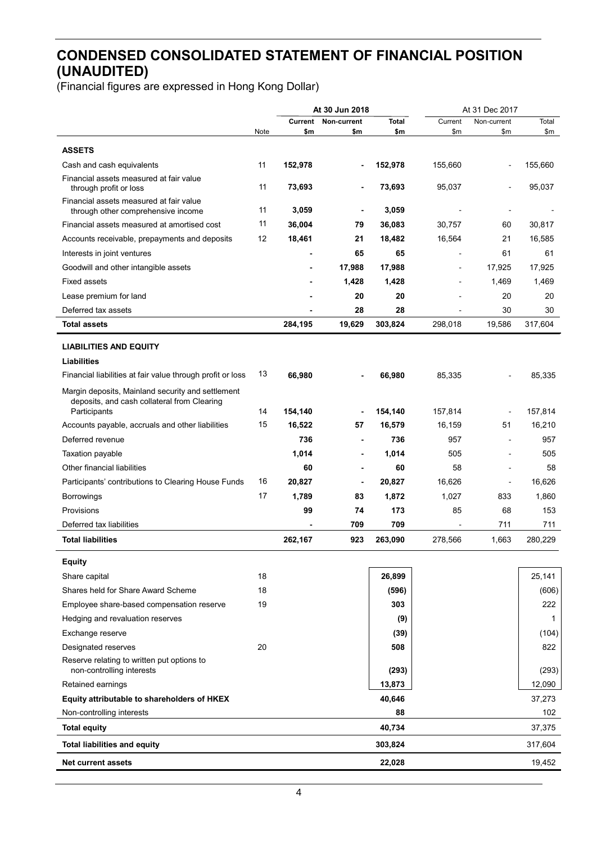# **CONDENSED CONSOLIDATED STATEMENT OF FINANCIAL POSITION (UNAUDITED)**

|                                                                                                  |      |             | At 31 Dec 2017<br>At 30 Jun 2018 |             |                |                          |           |
|--------------------------------------------------------------------------------------------------|------|-------------|----------------------------------|-------------|----------------|--------------------------|-----------|
|                                                                                                  |      |             | <b>Current Non-current</b>       | Total       | Current        | Non-current              | Total     |
|                                                                                                  | Note | \$m         | \$m                              | \$m         | \$m            | \$m                      | \$m       |
| <b>ASSETS</b>                                                                                    |      |             |                                  |             |                |                          |           |
| Cash and cash equivalents                                                                        | 11   | 152,978     | $\blacksquare$                   | 152,978     | 155,660        |                          | 155,660   |
| Financial assets measured at fair value<br>through profit or loss                                | 11   | 73,693      |                                  | 73,693      | 95,037         |                          | 95,037    |
| Financial assets measured at fair value<br>through other comprehensive income                    | 11   | 3,059       |                                  | 3,059       |                |                          |           |
| Financial assets measured at amortised cost                                                      | 11   | 36,004      | 79                               | 36,083      | 30,757         | 60                       | 30,817    |
| Accounts receivable, prepayments and deposits                                                    | 12   | 18,461      | 21                               | 18,482      | 16,564         | 21                       | 16,585    |
| Interests in joint ventures                                                                      |      |             | 65                               | 65          |                | 61                       | 61        |
| Goodwill and other intangible assets                                                             |      |             | 17,988                           | 17,988      |                | 17,925                   | 17,925    |
| <b>Fixed assets</b>                                                                              |      |             | 1,428                            | 1,428       |                | 1,469                    | 1,469     |
| Lease premium for land                                                                           |      |             | 20                               | 20          |                | 20                       | 20        |
| Deferred tax assets                                                                              |      |             | 28                               | 28          |                | 30                       | 30        |
| <b>Total assets</b>                                                                              |      | 284,195     | 19,629                           | 303,824     | 298,018        | 19,586                   | 317,604   |
| <b>LIABILITIES AND EQUITY</b>                                                                    |      |             |                                  |             |                |                          |           |
| <b>Liabilities</b>                                                                               |      |             |                                  |             |                |                          |           |
| Financial liabilities at fair value through profit or loss                                       | 13   | 66,980      |                                  | 66,980      | 85,335         |                          | 85,335    |
| Margin deposits, Mainland security and settlement<br>deposits, and cash collateral from Clearing | 14   | 154,140     |                                  | 154,140     | 157,814        |                          | 157,814   |
| Participants                                                                                     | 15   | 16,522      |                                  | 16,579      | 16,159         | 51                       | 16,210    |
| Accounts payable, accruals and other liabilities<br>Deferred revenue                             |      | 736         | 57<br>$\blacksquare$             | 736         | 957            | $\overline{a}$           | 957       |
|                                                                                                  |      |             |                                  |             |                |                          |           |
| Taxation payable                                                                                 |      | 1,014<br>60 | $\blacksquare$                   | 1,014<br>60 | 505<br>58      | $\overline{\phantom{a}}$ | 505<br>58 |
| Other financial liabilities                                                                      | 16   |             | $\blacksquare$                   |             |                | $\overline{a}$           |           |
| Participants' contributions to Clearing House Funds                                              | 17   | 20,827      |                                  | 20,827      | 16,626         | $\overline{a}$           | 16,626    |
| <b>Borrowings</b>                                                                                |      | 1,789       | 83                               | 1,872       | 1,027          | 833                      | 1,860     |
| Provisions                                                                                       |      | 99          | 74                               | 173         | 85             | 68                       | 153       |
| Deferred tax liabilities                                                                         |      |             | 709                              | 709         | $\blacksquare$ | 711                      | 711       |
| <b>Total liabilities</b>                                                                         |      | 262,167     | 923                              | 263,090     | 278,566        | 1,663                    | 280,229   |
| <b>Equity</b>                                                                                    |      |             |                                  |             |                |                          |           |
| Share capital                                                                                    | 18   |             |                                  | 26,899      |                |                          | 25,141    |
| Shares held for Share Award Scheme                                                               | 18   |             |                                  | (596)       |                |                          | (606)     |
| Employee share-based compensation reserve                                                        | 19   |             |                                  | 303         |                |                          | 222       |
| Hedging and revaluation reserves                                                                 |      |             |                                  | (9)         |                |                          | 1         |
| Exchange reserve                                                                                 |      |             |                                  | (39)        |                |                          | (104)     |
| Designated reserves                                                                              | 20   |             |                                  | 508         |                |                          | 822       |
| Reserve relating to written put options to<br>non-controlling interests                          |      |             |                                  | (293)       |                |                          | (293)     |
| Retained earnings                                                                                |      |             |                                  | 13,873      |                |                          | 12,090    |
| Equity attributable to shareholders of HKEX                                                      |      |             |                                  | 40,646      |                |                          | 37,273    |
| Non-controlling interests                                                                        |      |             |                                  | 88          |                |                          | 102       |
| <b>Total equity</b>                                                                              |      |             |                                  | 40,734      |                |                          | 37,375    |
| <b>Total liabilities and equity</b>                                                              |      |             |                                  | 303,824     |                |                          | 317,604   |
| <b>Net current assets</b>                                                                        |      |             |                                  | 22,028      |                |                          | 19,452    |
|                                                                                                  |      |             |                                  |             |                |                          |           |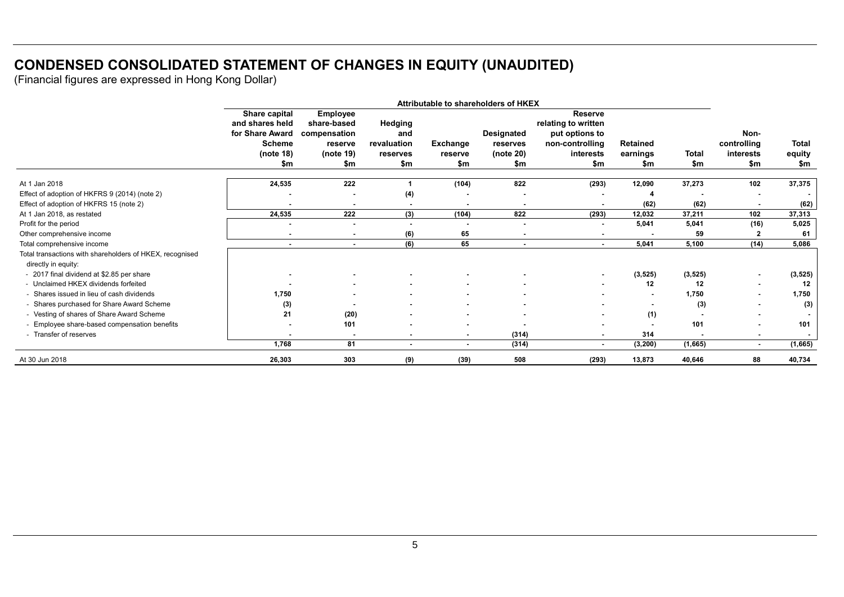# **CONDENSED CONSOLIDATED STATEMENT OF CHANGES IN EQUITY (UNAUDITED)**

|                                                          | Attributable to shareholders of HKEX |                                |                |                 |                          |                                       |                 |              |                |          |
|----------------------------------------------------------|--------------------------------------|--------------------------------|----------------|-----------------|--------------------------|---------------------------------------|-----------------|--------------|----------------|----------|
|                                                          | Share capital<br>and shares held     | <b>Employee</b><br>share-based | Hedging        |                 |                          | <b>Reserve</b><br>relating to written |                 |              |                |          |
|                                                          | for Share Award                      | compensation                   | and            |                 | Designated               | put options to                        |                 |              | Non-           |          |
|                                                          | <b>Scheme</b>                        | reserve                        | revaluation    | <b>Exchange</b> | reserves                 | non-controlling                       | <b>Retained</b> |              | controlling    | Total    |
|                                                          | (note 18)                            | (note 19)                      | reserves       | reserve         | (note 20)                | interests                             | earnings        | <b>Total</b> | interests      | equity   |
|                                                          | \$m                                  | \$m                            | \$m            | \$m             | \$m                      | \$m                                   | \$m             | \$m          | \$m            | \$m      |
| At 1 Jan 2018                                            | 24,535                               | 222                            |                | (104)           | 822                      | (293)                                 | 12,090          | 37,273       | 102            | 37,375   |
| Effect of adoption of HKFRS 9 (2014) (note 2)            |                                      |                                | (4)            |                 |                          |                                       |                 |              |                |          |
| Effect of adoption of HKFRS 15 (note 2)                  |                                      | $\blacksquare$                 | $\blacksquare$ | $\blacksquare$  |                          | ۰                                     | (62)            | (62)         |                | (62)     |
| At 1 Jan 2018, as restated                               | 24,535                               | 222                            | (3)            | (104)           | 822                      | (293)                                 | 12.032          | 37,211       | 102            | 37,313   |
| Profit for the period                                    |                                      |                                | $\blacksquare$ |                 |                          | ۰                                     | 5,041           | 5,041        | (16)           | 5,025    |
| Other comprehensive income                               | $\blacksquare$                       | $\blacksquare$                 | (6)            | 65              | $\blacksquare$           | $\blacksquare$                        |                 | 59           |                | 61       |
| Total comprehensive income                               |                                      | $\overline{\phantom{a}}$       | (6)            | 65              | $\overline{\phantom{0}}$ | $\sim$                                | 5.041           | 5,100        | (14)           | 5,086    |
| Total transactions with shareholders of HKEX, recognised |                                      |                                |                |                 |                          |                                       |                 |              |                |          |
| directly in equity:                                      |                                      |                                |                |                 |                          |                                       |                 |              |                |          |
| - 2017 final dividend at \$2.85 per share                |                                      |                                |                |                 |                          | $\sim$                                | (3, 525)        | (3, 525)     |                | (3, 525) |
| - Unclaimed HKEX dividends forfeited                     |                                      |                                |                |                 |                          |                                       | 12              | 12           |                | 12       |
| - Shares issued in lieu of cash dividends                | 1.750                                |                                |                |                 |                          |                                       |                 | 1,750        |                | 1,750    |
| - Shares purchased for Share Award Scheme                | (3)                                  |                                |                |                 |                          |                                       |                 | (3)          |                | (3)      |
| - Vesting of shares of Share Award Scheme                | 21                                   | (20)                           |                |                 |                          |                                       | (1)             |              |                |          |
| - Employee share-based compensation benefits             |                                      | 101                            |                |                 |                          |                                       |                 | 101          |                | 101      |
| - Transfer of reserves                                   |                                      | $\overline{\phantom{a}}$       | $\blacksquare$ | $\blacksquare$  | (314)                    | $\sim$                                | 314             |              |                |          |
|                                                          | 1,768                                | 81                             | ۰.             | $\blacksquare$  | (314)                    | $\sim$                                | (3, 200)        | (1,665)      | $\blacksquare$ | (1,665)  |
| At 30 Jun 2018                                           | 26,303                               | 303                            | (9)            | (39)            | 508                      | (293)                                 | 13,873          | 40,646       | 88             | 40,734   |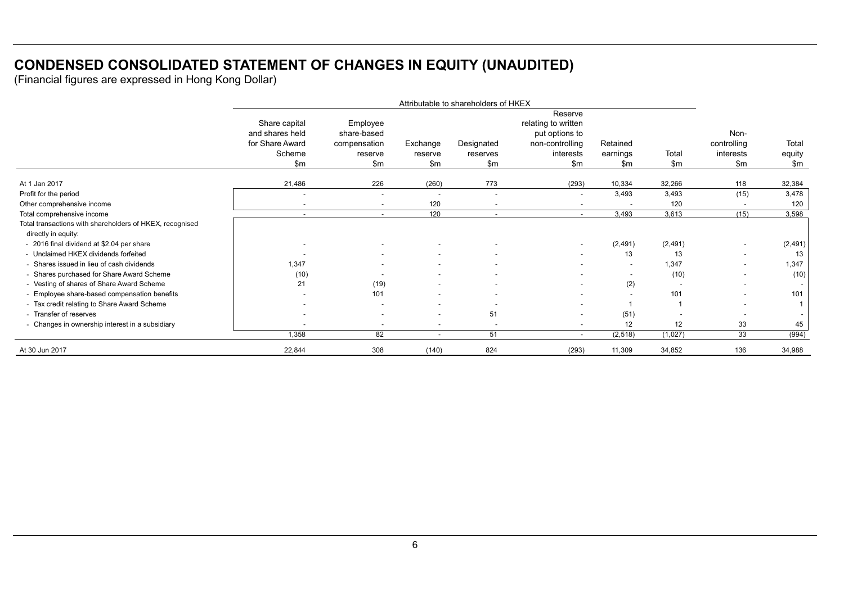# **CONDENSED CONSOLIDATED STATEMENT OF CHANGES IN EQUITY (UNAUDITED)**

|                                                                                 | Attributable to shareholders of HKEX                                 |                                                           |                            |                               |                                                                                         |                             |                |                                                   |                         |
|---------------------------------------------------------------------------------|----------------------------------------------------------------------|-----------------------------------------------------------|----------------------------|-------------------------------|-----------------------------------------------------------------------------------------|-----------------------------|----------------|---------------------------------------------------|-------------------------|
|                                                                                 | Share capital<br>and shares held<br>for Share Award<br>Scheme<br>\$m | Employee<br>share-based<br>compensation<br>reserve<br>\$m | Exchange<br>reserve<br>\$m | Designated<br>reserves<br>\$m | Reserve<br>relating to written<br>put options to<br>non-controlling<br>interests<br>\$m | Retained<br>earnings<br>\$m | Total<br>\$m\$ | Non-<br>controlling<br>interests<br>$\mathsf{Sm}$ | Total<br>equity<br>\$m  |
| At 1 Jan 2017                                                                   | 21,486                                                               | 226                                                       | (260)                      | 773                           | (293)                                                                                   | 10,334                      | 32,266         | 118                                               | 32,384                  |
| Profit for the period                                                           | $\blacksquare$                                                       | $\sim$                                                    | $\overline{\phantom{a}}$   | $\blacksquare$                | $\sim$                                                                                  | 3.493                       | 3,493          | (15)                                              | 3,478                   |
| Other comprehensive income                                                      | $\overline{\phantom{a}}$                                             | $\sim$                                                    | 120                        |                               | $\overline{\phantom{a}}$                                                                |                             | 120            |                                                   | 120                     |
| Total comprehensive income                                                      | $\sim$                                                               | $\sim$                                                    | 120                        | $\sim$                        | $\sim$                                                                                  | 3,493                       | 3,613          | (15)                                              | 3,598                   |
| Total transactions with shareholders of HKEX, recognised<br>directly in equity: |                                                                      |                                                           |                            |                               |                                                                                         |                             |                |                                                   |                         |
| - 2016 final dividend at \$2.04 per share                                       |                                                                      |                                                           |                            |                               | $\sim$                                                                                  | (2, 491)                    | (2, 491)       |                                                   | (2, 491)                |
| - Unclaimed HKEX dividends forfeited                                            |                                                                      |                                                           |                            |                               | $\sim$                                                                                  | 13                          | 13             | $\sim$                                            | 13                      |
| - Shares issued in lieu of cash dividends                                       | 1,347                                                                |                                                           |                            |                               | $\sim$                                                                                  | $\sim$                      | 1,347          |                                                   | 1,347                   |
| - Shares purchased for Share Award Scheme                                       | (10)                                                                 | $\sim$                                                    |                            |                               | $\overline{\phantom{a}}$                                                                | $\sim$                      | (10)           | $\sim$                                            | (10)                    |
| - Vesting of shares of Share Award Scheme                                       | 21                                                                   | (19)                                                      |                            |                               | $\sim$                                                                                  | (2)                         |                |                                                   |                         |
| - Employee share-based compensation benefits                                    |                                                                      | 101                                                       |                            | $\sim$                        | $\sim$                                                                                  | $\overline{\phantom{a}}$    | 101            |                                                   | 101                     |
| - Tax credit relating to Share Award Scheme                                     |                                                                      |                                                           |                            |                               | $\overline{\phantom{a}}$                                                                |                             |                |                                                   | $\overline{\mathbf{1}}$ |
| - Transfer of reserves                                                          |                                                                      | $\sim$                                                    | $\blacksquare$             | 51                            | $\sim$                                                                                  | (51)                        |                |                                                   |                         |
| - Changes in ownership interest in a subsidiary                                 | $\overline{a}$                                                       | $\sim$                                                    | $\overline{\phantom{a}}$   | $\overline{\phantom{a}}$      | $\overline{\phantom{a}}$                                                                | 12                          | 12             | 33                                                | 45                      |
|                                                                                 | 1,358                                                                | 82                                                        | $\blacksquare$             | 51                            | $\sim$                                                                                  | (2,518)                     | (1,027)        | 33                                                | (994)                   |
| At 30 Jun 2017                                                                  | 22,844                                                               | 308                                                       | (140)                      | 824                           | (293)                                                                                   | 11,309                      | 34,852         | 136                                               | 34,988                  |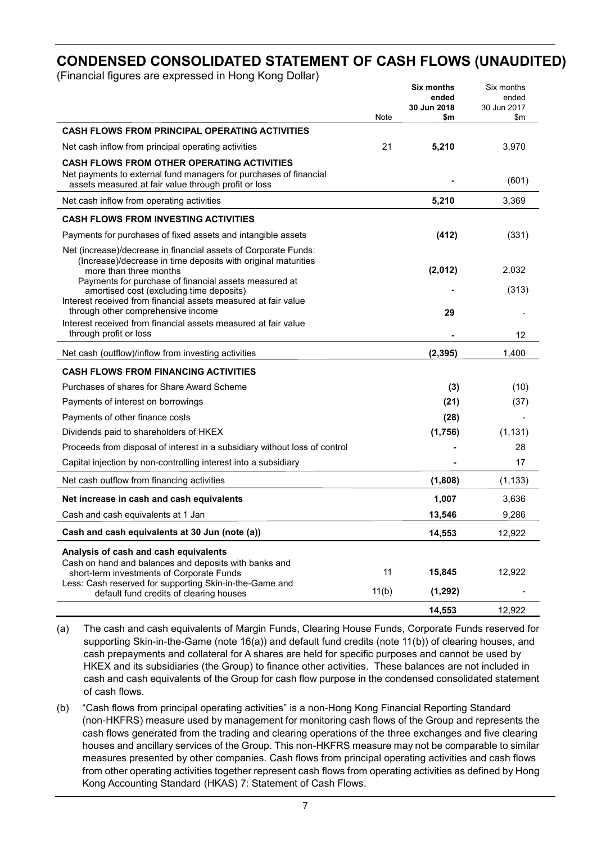# **CONDENSED CONSOLIDATED STATEMENT OF CASH FLOWS (UNAUDITED)**

(Financial figures are expressed in Hong Kong Dollar)

|                                                                                                                                                                     | Note  | <b>Six months</b><br>ended<br>30 Jun 2018<br>\$m | Six months<br>ended<br>30 Jun 2017<br>\$m |
|---------------------------------------------------------------------------------------------------------------------------------------------------------------------|-------|--------------------------------------------------|-------------------------------------------|
| <b>CASH FLOWS FROM PRINCIPAL OPERATING ACTIVITIES</b>                                                                                                               |       |                                                  |                                           |
| Net cash inflow from principal operating activities                                                                                                                 | 21    | 5,210                                            | 3,970                                     |
| <b>CASH FLOWS FROM OTHER OPERATING ACTIVITIES</b>                                                                                                                   |       |                                                  |                                           |
| Net payments to external fund managers for purchases of financial<br>assets measured at fair value through profit or loss                                           |       |                                                  | (601)                                     |
| Net cash inflow from operating activities                                                                                                                           |       | 5,210                                            | 3,369                                     |
| <b>CASH FLOWS FROM INVESTING ACTIVITIES</b>                                                                                                                         |       |                                                  |                                           |
| Payments for purchases of fixed assets and intangible assets                                                                                                        |       | (412)                                            | (331)                                     |
| Net (increase)/decrease in financial assets of Corporate Funds:<br>(Increase)/decrease in time deposits with original maturities<br>more than three months          |       | (2,012)                                          | 2,032                                     |
| Payments for purchase of financial assets measured at<br>amortised cost (excluding time deposits)<br>Interest received from financial assets measured at fair value |       |                                                  | (313)                                     |
| through other comprehensive income                                                                                                                                  |       | 29                                               |                                           |
| Interest received from financial assets measured at fair value<br>through profit or loss                                                                            |       |                                                  | 12                                        |
| Net cash (outflow)/inflow from investing activities                                                                                                                 |       | (2, 395)                                         | 1,400                                     |
| <b>CASH FLOWS FROM FINANCING ACTIVITIES</b>                                                                                                                         |       |                                                  |                                           |
| Purchases of shares for Share Award Scheme                                                                                                                          |       | (3)                                              | (10)                                      |
| Payments of interest on borrowings                                                                                                                                  |       | (21)                                             | (37)                                      |
| Payments of other finance costs                                                                                                                                     |       | (28)                                             |                                           |
| Dividends paid to shareholders of HKEX                                                                                                                              |       | (1,756)                                          | (1, 131)                                  |
| Proceeds from disposal of interest in a subsidiary without loss of control                                                                                          |       |                                                  | 28                                        |
| Capital injection by non-controlling interest into a subsidiary                                                                                                     |       |                                                  | 17                                        |
| Net cash outflow from financing activities                                                                                                                          |       | (1,808)                                          | (1, 133)                                  |
| Net increase in cash and cash equivalents                                                                                                                           |       | 1,007                                            | 3,636                                     |
| Cash and cash equivalents at 1 Jan                                                                                                                                  |       | 13,546                                           | 9,286                                     |
| Cash and cash equivalents at 30 Jun (note (a))                                                                                                                      |       | 14,553                                           | 12,922                                    |
| Analysis of cash and cash equivalents                                                                                                                               |       |                                                  |                                           |
| Cash on hand and balances and deposits with banks and<br>short-term investments of Corporate Funds<br>Less: Cash reserved for supporting Skin-in-the-Game and       | 11    | 15,845                                           | 12,922                                    |
| default fund credits of clearing houses                                                                                                                             | 11(b) | (1, 292)                                         |                                           |
|                                                                                                                                                                     |       | 14,553                                           | 12,922                                    |

(a) The cash and cash equivalents of Margin Funds, Clearing House Funds, Corporate Funds reserved for supporting Skin-in-the-Game (note 16(a)) and default fund credits (note 11(b)) of clearing houses, and cash prepayments and collateral for A shares are held for specific purposes and cannot be used by HKEX and its subsidiaries (the Group) to finance other activities. These balances are not included in cash and cash equivalents of the Group for cash flow purpose in the condensed consolidated statement of cash flows.

(b) "Cash flows from principal operating activities" is a non-Hong Kong Financial Reporting Standard (non-HKFRS) measure used by management for monitoring cash flows of the Group and represents the cash flows generated from the trading and clearing operations of the three exchanges and five clearing houses and ancillary services of the Group. This non-HKFRS measure may not be comparable to similar measures presented by other companies. Cash flows from principal operating activities and cash flows from other operating activities together represent cash flows from operating activities as defined by Hong Kong Accounting Standard (HKAS) 7: Statement of Cash Flows.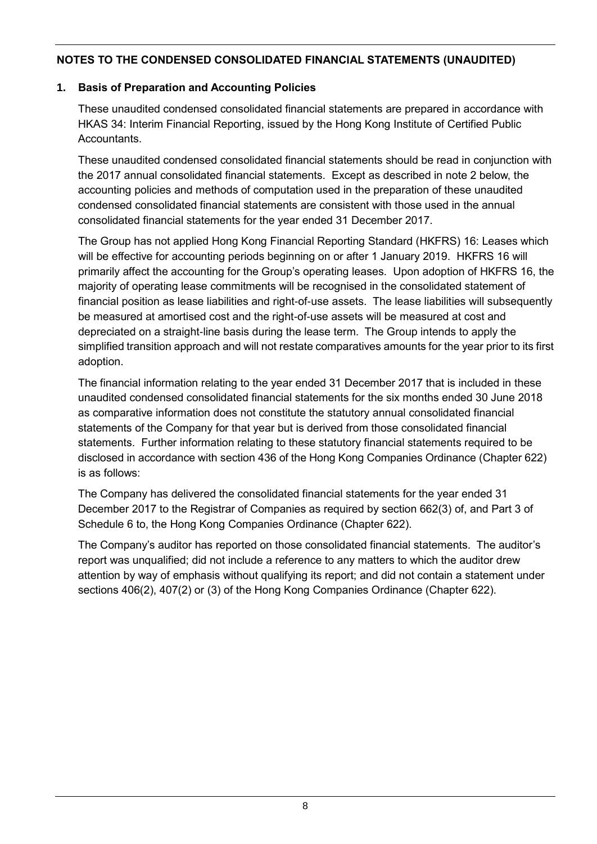# **1. Basis of Preparation and Accounting Policies**

These unaudited condensed consolidated financial statements are prepared in accordance with HKAS 34: Interim Financial Reporting, issued by the Hong Kong Institute of Certified Public **Accountants** 

These unaudited condensed consolidated financial statements should be read in conjunction with the 2017 annual consolidated financial statements. Except as described in note 2 below, the accounting policies and methods of computation used in the preparation of these unaudited condensed consolidated financial statements are consistent with those used in the annual consolidated financial statements for the year ended 31 December 2017.

The Group has not applied Hong Kong Financial Reporting Standard (HKFRS) 16: Leases which will be effective for accounting periods beginning on or after 1 January 2019. HKFRS 16 will primarily affect the accounting for the Group's operating leases. Upon adoption of HKFRS 16, the majority of operating lease commitments will be recognised in the consolidated statement of financial position as lease liabilities and right-of-use assets. The lease liabilities will subsequently be measured at amortised cost and the right-of-use assets will be measured at cost and depreciated on a straight-line basis during the lease term. The Group intends to apply the simplified transition approach and will not restate comparatives amounts for the year prior to its first adoption.

The financial information relating to the year ended 31 December 2017 that is included in these unaudited condensed consolidated financial statements for the six months ended 30 June 2018 as comparative information does not constitute the statutory annual consolidated financial statements of the Company for that year but is derived from those consolidated financial statements. Further information relating to these statutory financial statements required to be disclosed in accordance with section 436 of the Hong Kong Companies Ordinance (Chapter 622) is as follows:

The Company has delivered the consolidated financial statements for the year ended 31 December 2017 to the Registrar of Companies as required by section 662(3) of, and Part 3 of Schedule 6 to, the Hong Kong Companies Ordinance (Chapter 622).

The Company's auditor has reported on those consolidated financial statements. The auditor's report was unqualified; did not include a reference to any matters to which the auditor drew attention by way of emphasis without qualifying its report; and did not contain a statement under sections 406(2), 407(2) or (3) of the Hong Kong Companies Ordinance (Chapter 622).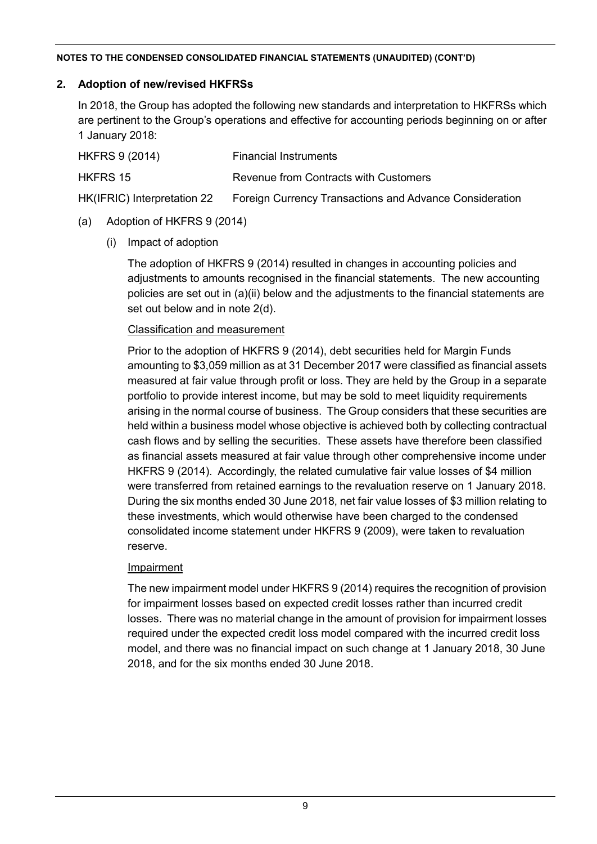# **2. Adoption of new/revised HKFRSs**

In 2018, the Group has adopted the following new standards and interpretation to HKFRSs which are pertinent to the Group's operations and effective for accounting periods beginning on or after 1 January 2018:

| HKFRS 9 (2014)              | <b>Financial Instruments</b>                                   |
|-----------------------------|----------------------------------------------------------------|
| HKFRS 15                    | Revenue from Contracts with Customers                          |
| HK(IFRIC) Interpretation 22 | <b>Foreign Currency Transactions and Advance Consideration</b> |

# (a) Adoption of HKFRS 9 (2014)

(i) Impact of adoption

The adoption of HKFRS 9 (2014) resulted in changes in accounting policies and adjustments to amounts recognised in the financial statements. The new accounting policies are set out in (a)(ii) below and the adjustments to the financial statements are set out below and in note 2(d).

# Classification and measurement

Prior to the adoption of HKFRS 9 (2014), debt securities held for Margin Funds amounting to \$3,059 million as at 31 December 2017 were classified as financial assets measured at fair value through profit or loss. They are held by the Group in a separate portfolio to provide interest income, but may be sold to meet liquidity requirements arising in the normal course of business. The Group considers that these securities are held within a business model whose objective is achieved both by collecting contractual cash flows and by selling the securities. These assets have therefore been classified as financial assets measured at fair value through other comprehensive income under HKFRS 9 (2014). Accordingly, the related cumulative fair value losses of \$4 million were transferred from retained earnings to the revaluation reserve on 1 January 2018. During the six months ended 30 June 2018, net fair value losses of \$3 million relating to these investments, which would otherwise have been charged to the condensed consolidated income statement under HKFRS 9 (2009), were taken to revaluation reserve.

# Impairment

The new impairment model under HKFRS 9 (2014) requires the recognition of provision for impairment losses based on expected credit losses rather than incurred credit losses. There was no material change in the amount of provision for impairment losses required under the expected credit loss model compared with the incurred credit loss model, and there was no financial impact on such change at 1 January 2018, 30 June 2018, and for the six months ended 30 June 2018.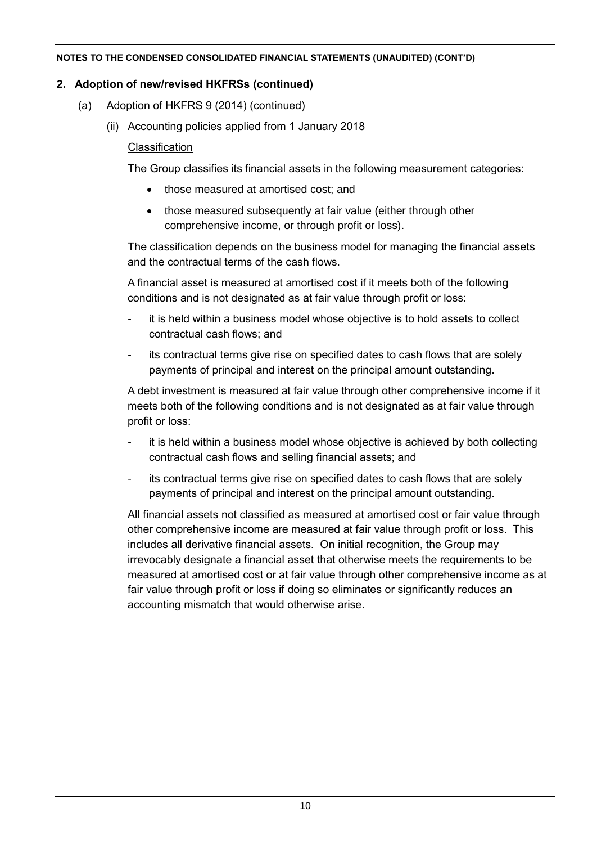# **2. Adoption of new/revised HKFRSs (continued)**

- (a) Adoption of HKFRS 9 (2014) (continued)
	- (ii) Accounting policies applied from 1 January 2018

# **Classification**

The Group classifies its financial assets in the following measurement categories:

- those measured at amortised cost: and
- those measured subsequently at fair value (either through other comprehensive income, or through profit or loss).

The classification depends on the business model for managing the financial assets and the contractual terms of the cash flows.

A financial asset is measured at amortised cost if it meets both of the following conditions and is not designated as at fair value through profit or loss:

- it is held within a business model whose objective is to hold assets to collect contractual cash flows; and
- its contractual terms give rise on specified dates to cash flows that are solely payments of principal and interest on the principal amount outstanding.

A debt investment is measured at fair value through other comprehensive income if it meets both of the following conditions and is not designated as at fair value through profit or loss:

- it is held within a business model whose objective is achieved by both collecting contractual cash flows and selling financial assets; and
- its contractual terms give rise on specified dates to cash flows that are solely payments of principal and interest on the principal amount outstanding.

All financial assets not classified as measured at amortised cost or fair value through other comprehensive income are measured at fair value through profit or loss. This includes all derivative financial assets. On initial recognition, the Group may irrevocably designate a financial asset that otherwise meets the requirements to be measured at amortised cost or at fair value through other comprehensive income as at fair value through profit or loss if doing so eliminates or significantly reduces an accounting mismatch that would otherwise arise.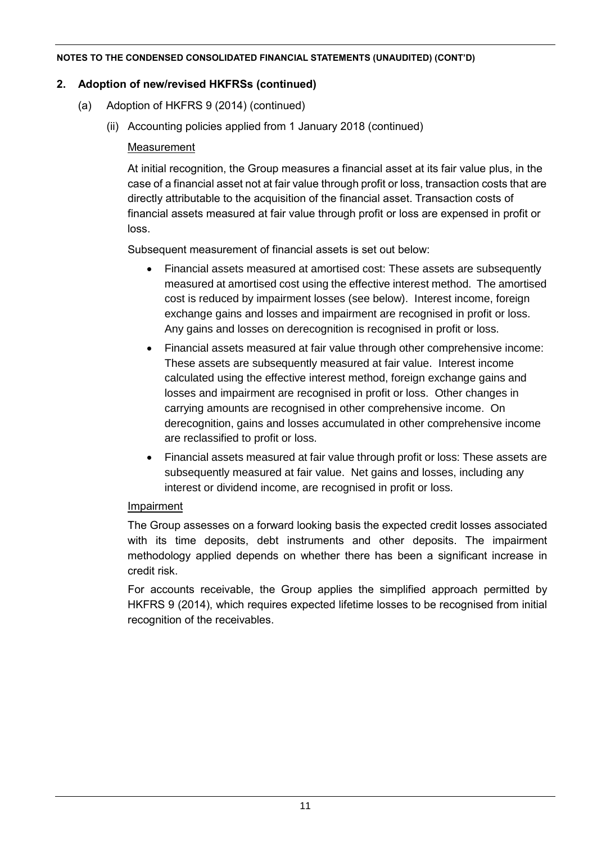# **2. Adoption of new/revised HKFRSs (continued)**

- (a) Adoption of HKFRS 9 (2014) (continued)
	- (ii) Accounting policies applied from 1 January 2018 (continued)

# Measurement

At initial recognition, the Group measures a financial asset at its fair value plus, in the case of a financial asset not at fair value through profit or loss, transaction costs that are directly attributable to the acquisition of the financial asset. Transaction costs of financial assets measured at fair value through profit or loss are expensed in profit or loss.

Subsequent measurement of financial assets is set out below:

- Financial assets measured at amortised cost: These assets are subsequently measured at amortised cost using the effective interest method. The amortised cost is reduced by impairment losses (see below). Interest income, foreign exchange gains and losses and impairment are recognised in profit or loss. Any gains and losses on derecognition is recognised in profit or loss.
- Financial assets measured at fair value through other comprehensive income: These assets are subsequently measured at fair value. Interest income calculated using the effective interest method, foreign exchange gains and losses and impairment are recognised in profit or loss. Other changes in carrying amounts are recognised in other comprehensive income. On derecognition, gains and losses accumulated in other comprehensive income are reclassified to profit or loss.
- Financial assets measured at fair value through profit or loss: These assets are subsequently measured at fair value. Net gains and losses, including any interest or dividend income, are recognised in profit or loss.

# Impairment

The Group assesses on a forward looking basis the expected credit losses associated with its time deposits, debt instruments and other deposits. The impairment methodology applied depends on whether there has been a significant increase in credit risk.

For accounts receivable, the Group applies the simplified approach permitted by HKFRS 9 (2014), which requires expected lifetime losses to be recognised from initial recognition of the receivables.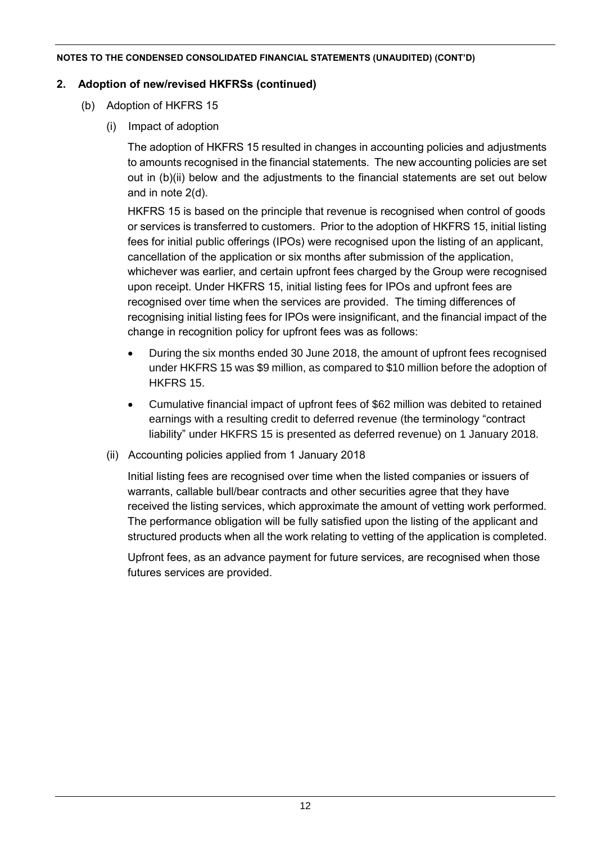# **2. Adoption of new/revised HKFRSs (continued)**

- (b) Adoption of HKFRS 15
	- (i) Impact of adoption

The adoption of HKFRS 15 resulted in changes in accounting policies and adjustments to amounts recognised in the financial statements. The new accounting policies are set out in (b)(ii) below and the adjustments to the financial statements are set out below and in note 2(d).

HKFRS 15 is based on the principle that revenue is recognised when control of goods or services is transferred to customers. Prior to the adoption of HKFRS 15, initial listing fees for initial public offerings (IPOs) were recognised upon the listing of an applicant, cancellation of the application or six months after submission of the application, whichever was earlier, and certain upfront fees charged by the Group were recognised upon receipt. Under HKFRS 15, initial listing fees for IPOs and upfront fees are recognised over time when the services are provided. The timing differences of recognising initial listing fees for IPOs were insignificant, and the financial impact of the change in recognition policy for upfront fees was as follows:

- During the six months ended 30 June 2018, the amount of upfront fees recognised under HKFRS 15 was \$9 million, as compared to \$10 million before the adoption of HKFRS 15.
- Cumulative financial impact of upfront fees of \$62 million was debited to retained earnings with a resulting credit to deferred revenue (the terminology "contract liability" under HKFRS 15 is presented as deferred revenue) on 1 January 2018.
- (ii) Accounting policies applied from 1 January 2018

Initial listing fees are recognised over time when the listed companies or issuers of warrants, callable bull/bear contracts and other securities agree that they have received the listing services, which approximate the amount of vetting work performed. The performance obligation will be fully satisfied upon the listing of the applicant and structured products when all the work relating to vetting of the application is completed.

Upfront fees, as an advance payment for future services, are recognised when those futures services are provided.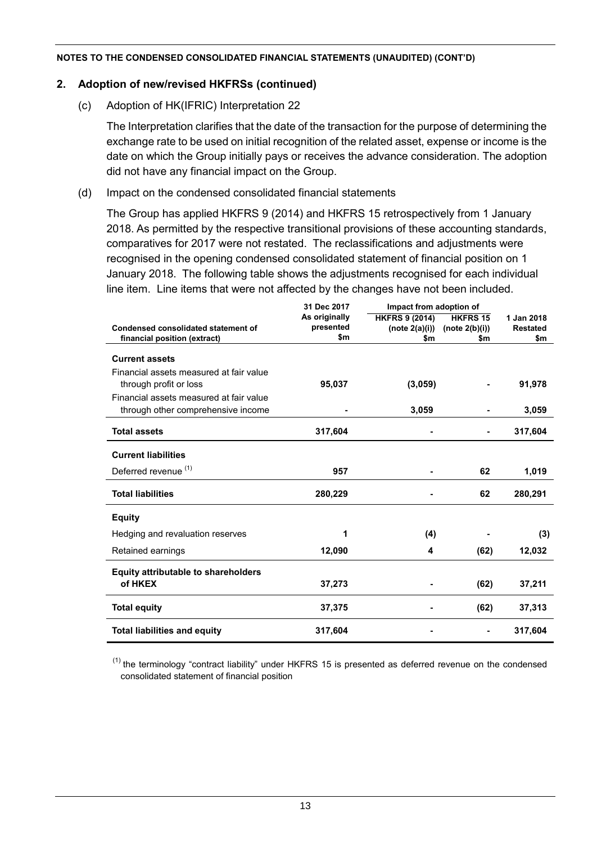# **2. Adoption of new/revised HKFRSs (continued)**

(c) Adoption of HK(IFRIC) Interpretation 22

The Interpretation clarifies that the date of the transaction for the purpose of determining the exchange rate to be used on initial recognition of the related asset, expense or income is the date on which the Group initially pays or receives the advance consideration. The adoption did not have any financial impact on the Group.

(d) Impact on the condensed consolidated financial statements

The Group has applied HKFRS 9 (2014) and HKFRS 15 retrospectively from 1 January 2018. As permitted by the respective transitional provisions of these accounting standards, comparatives for 2017 were not restated. The reclassifications and adjustments were recognised in the opening condensed consolidated statement of financial position on 1 January 2018. The following table shows the adjustments recognised for each individual line item. Line items that were not affected by the changes have not been included.

|                                            | 31 Dec 2017   | Impact from adoption of |                 |                 |
|--------------------------------------------|---------------|-------------------------|-----------------|-----------------|
|                                            | As originally | <b>HKFRS 9 (2014)</b>   | <b>HKFRS 15</b> | 1 Jan 2018      |
| Condensed consolidated statement of        | presented     | (note 2(a)(i))          | (note 2(b)(i))  | <b>Restated</b> |
| financial position (extract)               | \$m           | \$m                     | \$m             | \$m             |
| <b>Current assets</b>                      |               |                         |                 |                 |
| Financial assets measured at fair value    |               |                         |                 |                 |
| through profit or loss                     | 95,037        | (3,059)                 |                 | 91,978          |
| Financial assets measured at fair value    |               |                         |                 |                 |
| through other comprehensive income         |               | 3,059                   |                 | 3,059           |
| <b>Total assets</b>                        | 317,604       |                         |                 | 317,604         |
| <b>Current liabilities</b>                 |               |                         |                 |                 |
|                                            |               |                         |                 |                 |
| Deferred revenue <sup>(1)</sup>            | 957           |                         | 62              | 1,019           |
| <b>Total liabilities</b>                   | 280,229       |                         | 62              | 280,291         |
| <b>Equity</b>                              |               |                         |                 |                 |
| Hedging and revaluation reserves           | 1             | (4)                     |                 | (3)             |
| Retained earnings                          | 12,090        | 4                       | (62)            | 12,032          |
| <b>Equity attributable to shareholders</b> |               |                         |                 |                 |
| of HKEX                                    | 37,273        |                         | (62)            | 37,211          |
| <b>Total equity</b>                        | 37,375        |                         | (62)            | 37,313          |
| <b>Total liabilities and equity</b>        | 317,604       |                         |                 | 317,604         |

 $(1)$  the terminology "contract liability" under HKFRS 15 is presented as deferred revenue on the condensed consolidated statement of financial position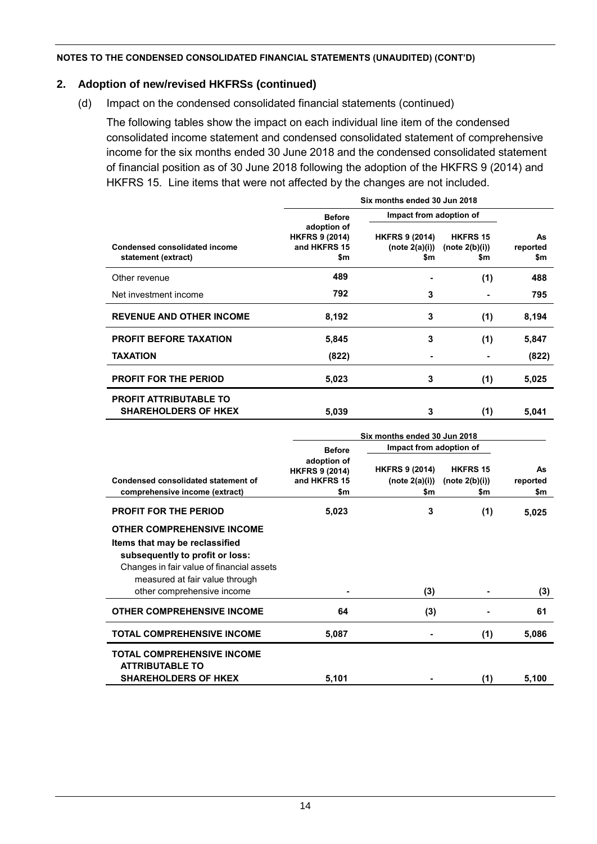# **2. Adoption of new/revised HKFRSs (continued)**

(d) Impact on the condensed consolidated financial statements (continued)

The following tables show the impact on each individual line item of the condensed consolidated income statement and condensed consolidated statement of comprehensive income for the six months ended 30 June 2018 and the condensed consolidated statement of financial position as of 30 June 2018 following the adoption of the HKFRS 9 (2014) and HKFRS 15. Line items that were not affected by the changes are not included.

|                                                             | Six months ended 30 Jun 2018                                |                                                |                                             |                       |  |  |  |
|-------------------------------------------------------------|-------------------------------------------------------------|------------------------------------------------|---------------------------------------------|-----------------------|--|--|--|
|                                                             | <b>Before</b>                                               | Impact from adoption of                        |                                             |                       |  |  |  |
| <b>Condensed consolidated income</b><br>statement (extract) | adoption of<br><b>HKFRS 9 (2014)</b><br>and HKFRS 15<br>\$m | <b>HKFRS 9 (2014)</b><br>(note 2(a)(i))<br>\$m | <b>HKFRS 15</b><br>(note $2(b)(i)$ )<br>\$m | As<br>reported<br>\$m |  |  |  |
| Other revenue                                               | 489                                                         |                                                | (1)                                         | 488                   |  |  |  |
| Net investment income                                       | 792                                                         | 3                                              |                                             | 795                   |  |  |  |
| <b>REVENUE AND OTHER INCOME</b>                             | 8,192                                                       | 3                                              | (1)                                         | 8,194                 |  |  |  |
| PROFIT BEFORE TAXATION                                      | 5,845                                                       | 3                                              | (1)                                         | 5,847                 |  |  |  |
| <b>TAXATION</b>                                             | (822)                                                       | $\blacksquare$                                 |                                             | (822)                 |  |  |  |
| <b>PROFIT FOR THE PERIOD</b>                                | 5,023                                                       | 3                                              | (1)                                         | 5,025                 |  |  |  |
| <b>PROFIT ATTRIBUTABLE TO</b>                               |                                                             |                                                |                                             |                       |  |  |  |
| <b>SHAREHOLDERS OF HKEX</b>                                 | 5,039                                                       | 3                                              | (1)                                         | 5,041                 |  |  |  |
|                                                             |                                                             | Six months ended 30 Jun 2018                   |                                             |                       |  |  |  |
|                                                             | <b>Before</b>                                               | Impact from adoption of                        |                                             |                       |  |  |  |
|                                                             | adoption of<br><b>HKFRS 9 (2014)</b>                        | <b>HKFRS 9 (2014)</b>                          | <b>HKFRS 15</b>                             | As                    |  |  |  |
| Condensed consolidated statement of                         | and HKFRS 15                                                | (note 2(a)(i))                                 | (note 2(b)(i))                              | reported              |  |  |  |
| comprehensive income (extract)                              | \$m                                                         | \$m                                            | \$m                                         | \$m                   |  |  |  |
| <b>PROFIT FOR THE PERIOD</b>                                | 5,023                                                       | 3                                              | (1)                                         | 5,025                 |  |  |  |
| <b>OTHER COMPREHENSIVE INCOME</b>                           |                                                             |                                                |                                             |                       |  |  |  |
| Items that may be reclassified                              |                                                             |                                                |                                             |                       |  |  |  |
| subsequently to profit or loss:                             |                                                             |                                                |                                             |                       |  |  |  |
| Changes in fair value of financial assets                   |                                                             |                                                |                                             |                       |  |  |  |
| measured at fair value through                              |                                                             |                                                |                                             |                       |  |  |  |
| other comprehensive income                                  |                                                             | (3)                                            |                                             | (3)                   |  |  |  |
| <b>OTHER COMPREHENSIVE INCOME</b>                           | 64                                                          | (3)                                            |                                             | 61                    |  |  |  |
| <b>TOTAL COMPREHENSIVE INCOME</b>                           | 5,087                                                       | $\blacksquare$                                 | (1)                                         | 5,086                 |  |  |  |
| <b>TOTAL COMPREHENSIVE INCOME</b><br><b>ATTRIBUTABLE TO</b> |                                                             |                                                |                                             |                       |  |  |  |
| <b>SHAREHOLDERS OF HKEX</b>                                 | 5.101                                                       |                                                | (1)                                         | 5.100                 |  |  |  |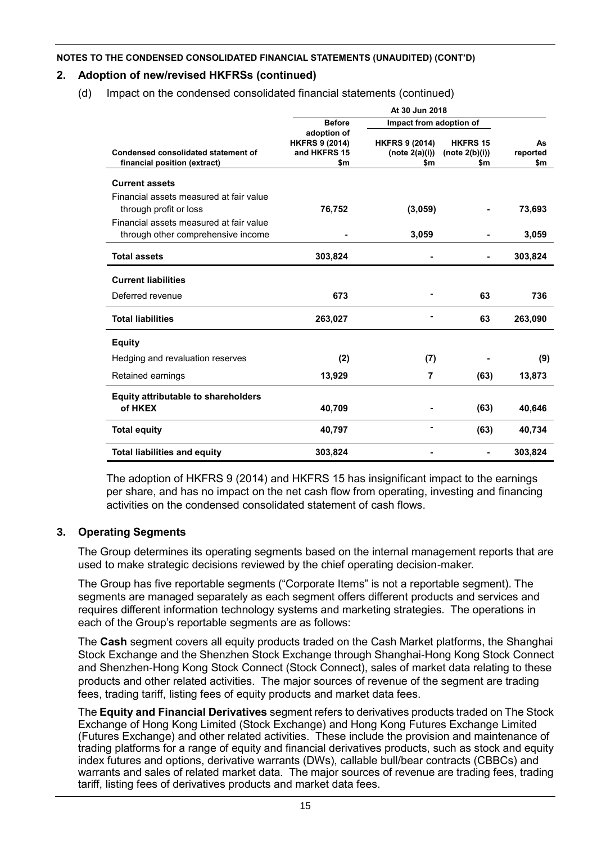# **2. Adoption of new/revised HKFRSs (continued)**

(d) Impact on the condensed consolidated financial statements (continued)

|                                                                               | <b>Before</b>                                               | Impact from adoption of                        |                                          |                       |
|-------------------------------------------------------------------------------|-------------------------------------------------------------|------------------------------------------------|------------------------------------------|-----------------------|
| Condensed consolidated statement of<br>financial position (extract)           | adoption of<br><b>HKFRS 9 (2014)</b><br>and HKFRS 15<br>\$m | <b>HKFRS 9 (2014)</b><br>(note 2(a)(i))<br>\$m | <b>HKFRS 15</b><br>(note 2(b)(i))<br>\$m | As<br>reported<br>\$m |
| <b>Current assets</b>                                                         |                                                             |                                                |                                          |                       |
| Financial assets measured at fair value<br>through profit or loss             | 76,752                                                      | (3,059)                                        |                                          | 73,693                |
| Financial assets measured at fair value<br>through other comprehensive income |                                                             | 3,059                                          |                                          | 3,059                 |
| <b>Total assets</b>                                                           | 303,824                                                     |                                                |                                          | 303,824               |
| <b>Current liabilities</b>                                                    |                                                             |                                                |                                          |                       |
| Deferred revenue                                                              | 673                                                         |                                                | 63                                       | 736                   |
| <b>Total liabilities</b>                                                      | 263,027                                                     |                                                | 63                                       | 263,090               |
| <b>Equity</b>                                                                 |                                                             |                                                |                                          |                       |
| Hedging and revaluation reserves                                              | (2)                                                         | (7)                                            |                                          | (9)                   |
| Retained earnings                                                             | 13,929                                                      | 7                                              | (63)                                     | 13,873                |
| <b>Equity attributable to shareholders</b>                                    |                                                             |                                                |                                          |                       |
| of HKEX                                                                       | 40,709                                                      |                                                | (63)                                     | 40,646                |
| <b>Total equity</b>                                                           | 40,797                                                      | $\blacksquare$                                 | (63)                                     | 40,734                |
| <b>Total liabilities and equity</b>                                           | 303,824                                                     |                                                |                                          | 303,824               |

The adoption of HKFRS 9 (2014) and HKFRS 15 has insignificant impact to the earnings per share, and has no impact on the net cash flow from operating, investing and financing activities on the condensed consolidated statement of cash flows.

# **3. Operating Segments**

The Group determines its operating segments based on the internal management reports that are used to make strategic decisions reviewed by the chief operating decision-maker.

The Group has five reportable segments ("Corporate Items" is not a reportable segment). The segments are managed separately as each segment offers different products and services and requires different information technology systems and marketing strategies. The operations in each of the Group's reportable segments are as follows:

The **Cash** segment covers all equity products traded on the Cash Market platforms, the Shanghai Stock Exchange and the Shenzhen Stock Exchange through Shanghai-Hong Kong Stock Connect and Shenzhen-Hong Kong Stock Connect (Stock Connect), sales of market data relating to these products and other related activities. The major sources of revenue of the segment are trading fees, trading tariff, listing fees of equity products and market data fees.

The **Equity and Financial Derivatives** segment refers to derivatives products traded on The Stock Exchange of Hong Kong Limited (Stock Exchange) and Hong Kong Futures Exchange Limited (Futures Exchange) and other related activities. These include the provision and maintenance of trading platforms for a range of equity and financial derivatives products, such as stock and equity index futures and options, derivative warrants (DWs), callable bull/bear contracts (CBBCs) and warrants and sales of related market data. The major sources of revenue are trading fees, trading tariff, listing fees of derivatives products and market data fees.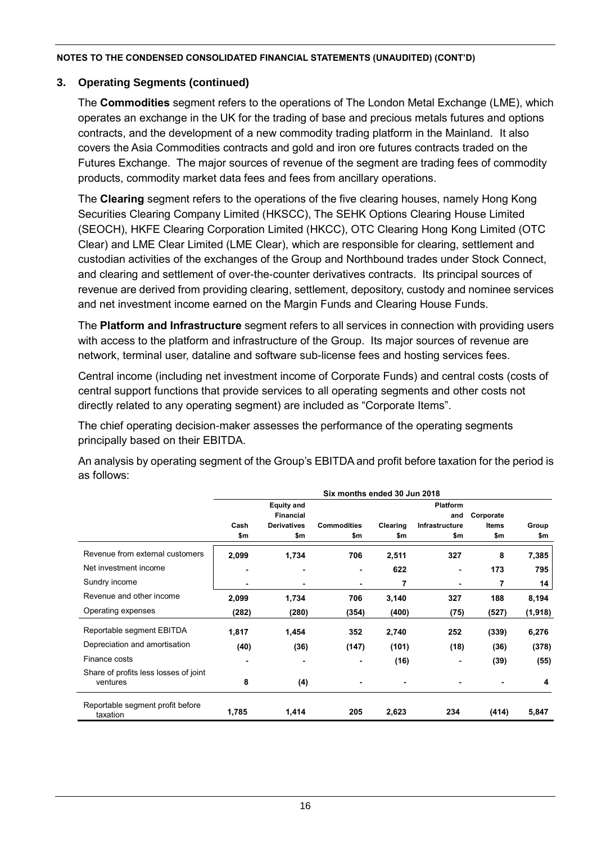# **3. Operating Segments (continued)**

The **Commodities** segment refers to the operations of The London Metal Exchange (LME), which operates an exchange in the UK for the trading of base and precious metals futures and options contracts, and the development of a new commodity trading platform in the Mainland. It also covers the Asia Commodities contracts and gold and iron ore futures contracts traded on the Futures Exchange. The major sources of revenue of the segment are trading fees of commodity products, commodity market data fees and fees from ancillary operations.

The **Clearing** segment refers to the operations of the five clearing houses, namely Hong Kong Securities Clearing Company Limited (HKSCC), The SEHK Options Clearing House Limited (SEOCH), HKFE Clearing Corporation Limited (HKCC), OTC Clearing Hong Kong Limited (OTC Clear) and LME Clear Limited (LME Clear), which are responsible for clearing, settlement and custodian activities of the exchanges of the Group and Northbound trades under Stock Connect, and clearing and settlement of over-the-counter derivatives contracts. Its principal sources of revenue are derived from providing clearing, settlement, depository, custody and nominee services and net investment income earned on the Margin Funds and Clearing House Funds.

The **Platform and Infrastructure** segment refers to all services in connection with providing users with access to the platform and infrastructure of the Group. Its major sources of revenue are network, terminal user, dataline and software sub-license fees and hosting services fees.

Central income (including net investment income of Corporate Funds) and central costs (costs of central support functions that provide services to all operating segments and other costs not directly related to any operating segment) are included as "Corporate Items".

The chief operating decision-maker assesses the performance of the operating segments principally based on their EBITDA.

An analysis by operating segment of the Group's EBITDA and profit before taxation for the period is as follows:

|                                                   | Six months ended 30 Jun 2018 |                                       |                    |                        |                |              |         |  |  |  |
|---------------------------------------------------|------------------------------|---------------------------------------|--------------------|------------------------|----------------|--------------|---------|--|--|--|
|                                                   |                              | <b>Equity and</b><br><b>Financial</b> |                    | <b>Platform</b><br>and |                |              |         |  |  |  |
|                                                   | Cash                         | <b>Derivatives</b>                    | <b>Commodities</b> | Clearing               | Infrastructure | <b>Items</b> | Group   |  |  |  |
|                                                   | \$m                          | \$m                                   | \$m                | \$m                    | \$m            | \$m          | \$m     |  |  |  |
| Revenue from external customers                   | 2,099                        | 1,734                                 | 706                | 2,511                  | 327            | 8            | 7,385   |  |  |  |
| Net investment income                             |                              | -                                     | $\blacksquare$     | 622                    | $\blacksquare$ | 173          | 795     |  |  |  |
| Sundry income                                     | $\blacksquare$               | ٠                                     | $\blacksquare$     | 7                      | ۰              | 7            | 14      |  |  |  |
| Revenue and other income                          | 2,099                        | 1,734                                 | 706                | 3,140                  | 327            | 188          | 8,194   |  |  |  |
| Operating expenses                                | (282)                        | (280)                                 | (354)              | (400)                  | (75)           | (527)        | (1,918) |  |  |  |
| Reportable segment EBITDA                         | 1,817                        | 1,454                                 | 352                | 2,740                  | 252            | (339)        | 6,276   |  |  |  |
| Depreciation and amortisation                     | (40)                         | (36)                                  | (147)              | (101)                  | (18)           | (36)         | (378)   |  |  |  |
| Finance costs                                     | ۰                            | $\blacksquare$                        |                    | (16)                   | -              | (39)         | (55)    |  |  |  |
| Share of profits less losses of joint<br>ventures | 8                            | (4)                                   | $\blacksquare$     |                        |                |              | 4       |  |  |  |
| Reportable segment profit before<br>taxation      | 1,785                        | 1,414                                 | 205                | 2,623                  | 234            | (414)        | 5,847   |  |  |  |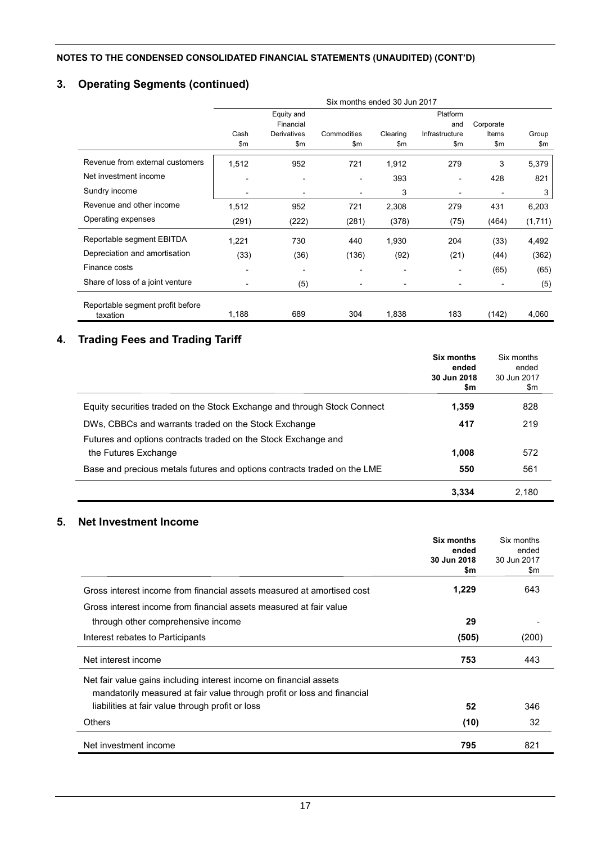# **3. Operating Segments (continued)**

|                                  | Six months ended 30 Jun 2017 |             |                          |                          |                |           |         |  |
|----------------------------------|------------------------------|-------------|--------------------------|--------------------------|----------------|-----------|---------|--|
|                                  |                              | Equity and  |                          |                          | Platform       |           |         |  |
|                                  |                              | Financial   |                          |                          | and            | Corporate |         |  |
|                                  | Cash                         | Derivatives | Commodities              | Clearing                 | Infrastructure | Items     | Group   |  |
|                                  | \$m                          | \$m         | \$m                      | \$m                      | \$m            | \$m       | \$m     |  |
| Revenue from external customers  | 1,512                        | 952         | 721                      | 1,912                    | 279            | 3         | 5,379   |  |
| Net investment income            | ٠                            | ۰           | $\overline{\phantom{a}}$ | 393                      | ۰              | 428       | 821     |  |
| Sundry income                    | $\overline{\phantom{a}}$     | ۰           | $\blacksquare$           | 3                        |                |           | 3       |  |
| Revenue and other income         | 1,512                        | 952         | 721                      | 2,308                    | 279            | 431       | 6,203   |  |
| Operating expenses               | (291)                        | (222)       | (281)                    | (378)                    | (75)           | (464)     | (1,711) |  |
| Reportable segment EBITDA        | 1,221                        | 730         | 440                      | 1,930                    | 204            | (33)      | 4,492   |  |
| Depreciation and amortisation    | (33)                         | (36)        | (136)                    | (92)                     | (21)           | (44)      | (362)   |  |
| Finance costs                    | -                            |             |                          | $\blacksquare$           |                | (65)      | (65)    |  |
| Share of loss of a joint venture | $\qquad \qquad \blacksquare$ | (5)         | $\blacksquare$           | $\overline{\phantom{a}}$ |                |           | (5)     |  |
| Reportable segment profit before |                              |             |                          |                          |                |           |         |  |
| taxation                         | 1,188                        | 689         | 304                      | 1,838                    | 183            | (142)     | 4,060   |  |

# **4. Trading Fees and Trading Tariff**

|                                                                                        | Six months<br>ended<br>30 Jun 2018<br>\$m | Six months<br>ended<br>30 Jun 2017<br>\$m |
|----------------------------------------------------------------------------------------|-------------------------------------------|-------------------------------------------|
| Equity securities traded on the Stock Exchange and through Stock Connect               | 1.359                                     | 828                                       |
| DWs, CBBCs and warrants traded on the Stock Exchange                                   | 417                                       | 219                                       |
| Futures and options contracts traded on the Stock Exchange and<br>the Futures Exchange | 1.008                                     | 572                                       |
| Base and precious metals futures and options contracts traded on the LME               | 550                                       | 561                                       |
|                                                                                        | 3.334                                     | 2.180                                     |

# **5. Net Investment Income**

|                                                                         | Six months<br>ended<br>30 Jun 2018<br>\$m | Six months<br>ended<br>30 Jun 2017<br>\$m |
|-------------------------------------------------------------------------|-------------------------------------------|-------------------------------------------|
| Gross interest income from financial assets measured at amortised cost  | 1,229                                     | 643                                       |
| Gross interest income from financial assets measured at fair value      |                                           |                                           |
| through other comprehensive income                                      | 29                                        |                                           |
| Interest rebates to Participants                                        | (505)                                     | (200)                                     |
| Net interest income                                                     | 753                                       | 443                                       |
| Net fair value gains including interest income on financial assets      |                                           |                                           |
| mandatorily measured at fair value through profit or loss and financial |                                           |                                           |
| liabilities at fair value through profit or loss                        | 52                                        | 346                                       |
| <b>Others</b>                                                           | (10)                                      | 32                                        |
| Net investment income                                                   | 795                                       | 821                                       |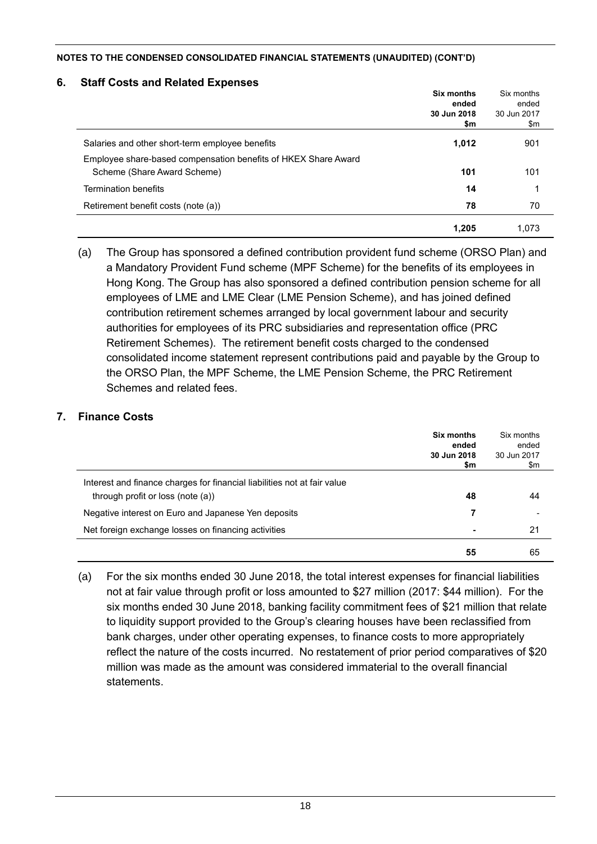### **6. Staff Costs and Related Expenses**

|                                                                | <b>Six months</b><br>ended<br>30 Jun 2018 | Six months<br>ended<br>30 Jun 2017 |
|----------------------------------------------------------------|-------------------------------------------|------------------------------------|
|                                                                | \$m                                       | \$m                                |
| Salaries and other short-term employee benefits                | 1,012                                     | 901                                |
| Employee share-based compensation benefits of HKEX Share Award |                                           |                                    |
| Scheme (Share Award Scheme)                                    | 101                                       | 101                                |
| <b>Termination benefits</b>                                    | 14                                        |                                    |
| Retirement benefit costs (note (a))                            | 78                                        | 70                                 |
|                                                                | 1,205                                     | 1.073                              |

(a) The Group has sponsored a defined contribution provident fund scheme (ORSO Plan) and a Mandatory Provident Fund scheme (MPF Scheme) for the benefits of its employees in Hong Kong. The Group has also sponsored a defined contribution pension scheme for all employees of LME and LME Clear (LME Pension Scheme), and has joined defined contribution retirement schemes arranged by local government labour and security authorities for employees of its PRC subsidiaries and representation office (PRC Retirement Schemes). The retirement benefit costs charged to the condensed consolidated income statement represent contributions paid and payable by the Group to the ORSO Plan, the MPF Scheme, the LME Pension Scheme, the PRC Retirement Schemes and related fees.

# **7. Finance Costs**

|                                                                                                               | Six months<br>ended<br>30 Jun 2018<br>\$m | Six months<br>ended<br>30 Jun 2017<br>\$m |
|---------------------------------------------------------------------------------------------------------------|-------------------------------------------|-------------------------------------------|
| Interest and finance charges for financial liabilities not at fair value<br>through profit or loss (note (a)) | 48                                        | 44                                        |
| Negative interest on Euro and Japanese Yen deposits                                                           | 7                                         |                                           |
| Net foreign exchange losses on financing activities                                                           | $\blacksquare$                            | 21                                        |
|                                                                                                               | 55                                        | 65                                        |

(a) For the six months ended 30 June 2018, the total interest expenses for financial liabilities not at fair value through profit or loss amounted to \$27 million (2017: \$44 million). For the six months ended 30 June 2018, banking facility commitment fees of \$21 million that relate to liquidity support provided to the Group's clearing houses have been reclassified from bank charges, under other operating expenses, to finance costs to more appropriately reflect the nature of the costs incurred. No restatement of prior period comparatives of \$20 million was made as the amount was considered immaterial to the overall financial **statements**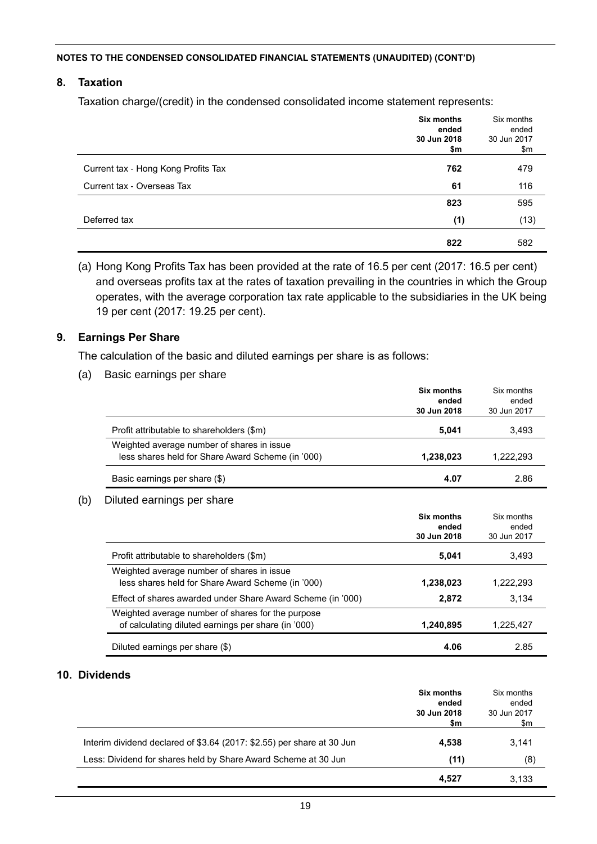### **8. Taxation**

Taxation charge/(credit) in the condensed consolidated income statement represents:

|                                     | Six months<br>ended<br>30 Jun 2018<br>\$m | Six months<br>ended<br>30 Jun 2017<br>\$m |
|-------------------------------------|-------------------------------------------|-------------------------------------------|
| Current tax - Hong Kong Profits Tax | 762                                       | 479                                       |
| Current tax - Overseas Tax          | 61                                        | 116                                       |
|                                     | 823                                       | 595                                       |
| Deferred tax                        | (1)                                       | (13)                                      |
|                                     | 822                                       | 582                                       |

(a) Hong Kong Profits Tax has been provided at the rate of 16.5 per cent (2017: 16.5 per cent) and overseas profits tax at the rates of taxation prevailing in the countries in which the Group operates, with the average corporation tax rate applicable to the subsidiaries in the UK being 19 per cent (2017: 19.25 per cent).

#### **9. Earnings Per Share**

The calculation of the basic and diluted earnings per share is as follows:

(a) Basic earnings per share

|                                                             | Six months<br>ended<br>30 Jun 2018 | Six months<br>ended<br>30 Jun 2017 |
|-------------------------------------------------------------|------------------------------------|------------------------------------|
| Profit attributable to shareholders (\$m)                   | 5,041                              | 3,493                              |
| Weighted average number of shares in issue                  |                                    |                                    |
| less shares held for Share Award Scheme (in '000)           | 1,238,023                          | 1,222,293                          |
| Basic earnings per share (\$)                               | 4.07                               | 2.86                               |
| Diluted earnings per share                                  |                                    |                                    |
|                                                             | Six months                         | Six months                         |
|                                                             | ended                              | ended                              |
|                                                             | 30 Jun 2018                        | 30 Jun 2017                        |
| Profit attributable to shareholders (\$m)                   | 5,041                              | 3,493                              |
| Weighted average number of shares in issue                  |                                    |                                    |
| less shares held for Share Award Scheme (in '000)           | 1,238,023                          | 1,222,293                          |
| Effect of shares awarded under Share Award Scheme (in '000) | 2,872                              | 3.134                              |
| Weighted average number of shares for the purpose           |                                    |                                    |
| of calculating diluted earnings per share (in '000)         | 1,240,895                          | 1,225,427                          |

#### **10. Dividends**

|                                                                        | Six months<br>ended<br>30 Jun 2018<br>\$m | Six months<br>ended<br>30 Jun 2017<br>\$m |
|------------------------------------------------------------------------|-------------------------------------------|-------------------------------------------|
| Interim dividend declared of \$3.64 (2017: \$2.55) per share at 30 Jun | 4.538                                     | 3.141                                     |
| Less: Dividend for shares held by Share Award Scheme at 30 Jun         | (11)                                      | (8)                                       |
|                                                                        | 4.527                                     | 3,133                                     |

Diluted earnings per share (\$) **4.06** 2.85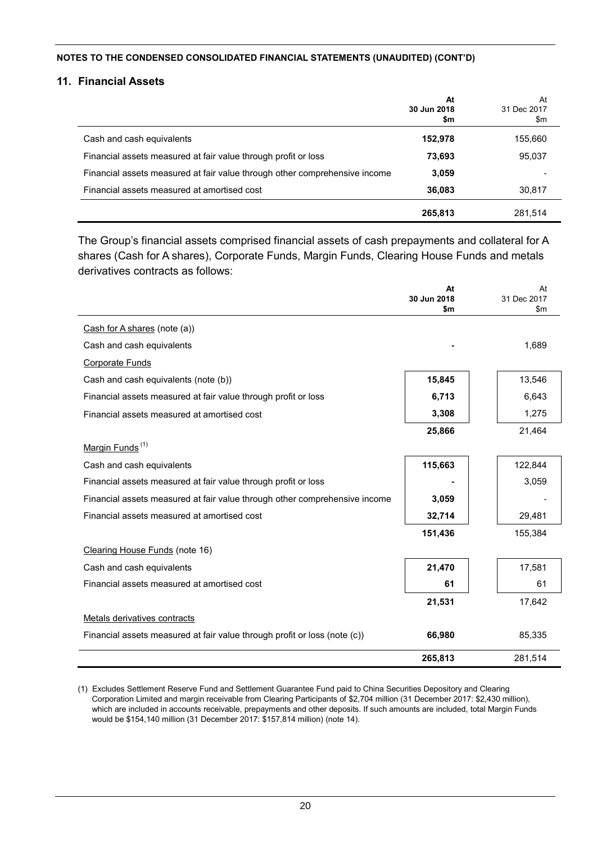#### **11. Financial Assets**

|                                                                            | At<br>30 Jun 2018<br>\$m | At<br>31 Dec 2017<br>\$m |
|----------------------------------------------------------------------------|--------------------------|--------------------------|
| Cash and cash equivalents                                                  | 152,978                  | 155,660                  |
| Financial assets measured at fair value through profit or loss             | 73,693                   | 95,037                   |
| Financial assets measured at fair value through other comprehensive income | 3,059                    |                          |
| Financial assets measured at amortised cost                                | 36,083                   | 30,817                   |
|                                                                            | 265,813                  | 281.514                  |

The Group's financial assets comprised financial assets of cash prepayments and collateral for A shares (Cash for A shares), Corporate Funds, Margin Funds, Clearing House Funds and metals derivatives contracts as follows:

|                                                                            | At<br>30 Jun 2018<br>\$m | At<br>31 Dec 2017<br>$\mathsf{Sm}$ |
|----------------------------------------------------------------------------|--------------------------|------------------------------------|
| Cash for A shares (note (a))                                               |                          |                                    |
| Cash and cash equivalents                                                  |                          | 1,689                              |
| <b>Corporate Funds</b>                                                     |                          |                                    |
| Cash and cash equivalents (note (b))                                       | 15,845                   | 13,546                             |
| Financial assets measured at fair value through profit or loss             | 6,713                    | 6,643                              |
| Financial assets measured at amortised cost                                | 3,308                    | 1,275                              |
|                                                                            | 25,866                   | 21,464                             |
| Margin Funds <sup>(1)</sup>                                                |                          |                                    |
| Cash and cash equivalents                                                  | 115,663                  | 122,844                            |
| Financial assets measured at fair value through profit or loss             |                          | 3,059                              |
| Financial assets measured at fair value through other comprehensive income | 3,059                    |                                    |
| Financial assets measured at amortised cost                                | 32,714                   | 29,481                             |
|                                                                            | 151,436                  | 155,384                            |
| Clearing House Funds (note 16)                                             |                          |                                    |
| Cash and cash equivalents                                                  | 21,470                   | 17,581                             |
| Financial assets measured at amortised cost                                | 61                       | 61                                 |
|                                                                            | 21,531                   | 17,642                             |
| Metals derivatives contracts                                               |                          |                                    |
| Financial assets measured at fair value through profit or loss (note (c))  | 66,980                   | 85,335                             |
|                                                                            | 265,813                  | 281,514                            |

(1) Excludes Settlement Reserve Fund and Settlement Guarantee Fund paid to China Securities Depository and Clearing Corporation Limited and margin receivable from Clearing Participants of \$2,704 million (31 December 2017: \$2,430 million), which are included in accounts receivable, prepayments and other deposits. If such amounts are included, total Margin Funds would be \$154,140 million (31 December 2017: \$157,814 million) (note 14).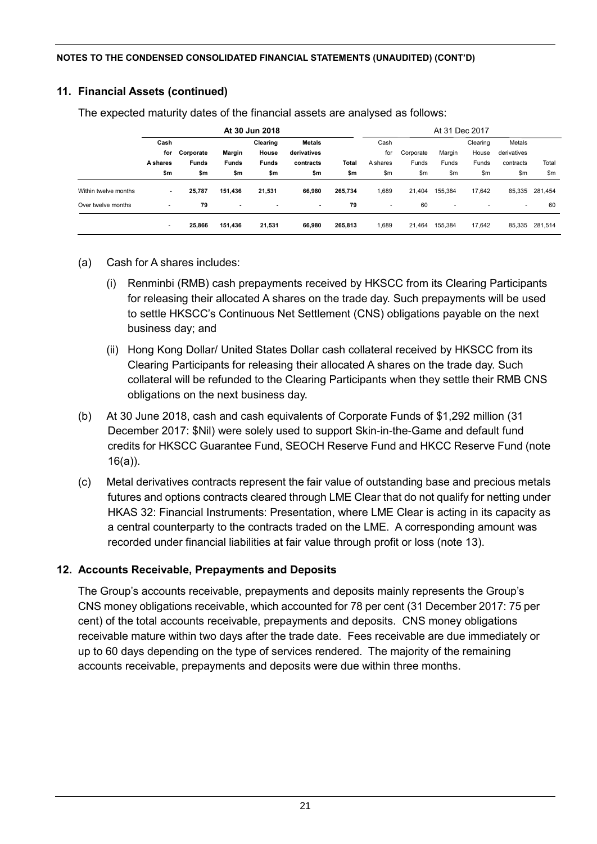# **11. Financial Assets (continued)**

|                      | At 30 Jun 2018  |                           |              |              |             | At 31 Dec 2017 |                          |           |                          |          |                          |         |
|----------------------|-----------------|---------------------------|--------------|--------------|-------------|----------------|--------------------------|-----------|--------------------------|----------|--------------------------|---------|
|                      | Cash            | <b>Metals</b><br>Clearing |              |              |             |                | Cash                     |           |                          | Clearing | Metals                   |         |
|                      | for             | Corporate                 | Margin       | House        | derivatives |                | for                      | Corporate | Margin                   | House    | derivatives              |         |
|                      | <b>A</b> shares | <b>Funds</b>              | <b>Funds</b> | <b>Funds</b> | contracts   | Total          | A shares                 | Funds     | Funds                    | Funds    | contracts                | Total   |
|                      | \$m             | \$m                       | \$m          | \$m          | \$m         | \$m            | \$m                      | \$m       | \$m                      | \$m      | \$m                      | \$m\$   |
| Within twelve months | $\blacksquare$  | 25,787                    | 151,436      | 21,531       | 66,980      | 265,734        | 1,689                    | 21,404    | 155,384                  | 17.642   | 85,335                   | 281,454 |
| Over twelve months   | ٠               | 79                        | ٠            | ٠            | ۰.          | 79             | $\overline{\phantom{a}}$ | 60        | $\overline{\phantom{a}}$ |          | $\overline{\phantom{a}}$ | 60      |
|                      | ۰               | 25,866                    | 151,436      | 21,531       | 66,980      | 265,813        | 1,689                    | 21,464    | 155,384                  | 17,642   | 85,335                   | 281,514 |

The expected maturity dates of the financial assets are analysed as follows:

- (a) Cash for A shares includes:
	- (i) Renminbi (RMB) cash prepayments received by HKSCC from its Clearing Participants for releasing their allocated A shares on the trade day. Such prepayments will be used to settle HKSCC's Continuous Net Settlement (CNS) obligations payable on the next business day; and
	- (ii) Hong Kong Dollar/ United States Dollar cash collateral received by HKSCC from its Clearing Participants for releasing their allocated A shares on the trade day. Such collateral will be refunded to the Clearing Participants when they settle their RMB CNS obligations on the next business day.
- (b) At 30 June 2018, cash and cash equivalents of Corporate Funds of \$1,292 million (31 December 2017: \$Nil) were solely used to support Skin-in-the-Game and default fund credits for HKSCC Guarantee Fund, SEOCH Reserve Fund and HKCC Reserve Fund (note 16(a)).
- (c) Metal derivatives contracts represent the fair value of outstanding base and precious metals futures and options contracts cleared through LME Clear that do not qualify for netting under HKAS 32: Financial Instruments: Presentation, where LME Clear is acting in its capacity as a central counterparty to the contracts traded on the LME. A corresponding amount was recorded under financial liabilities at fair value through profit or loss (note 13).

# **12. Accounts Receivable, Prepayments and Deposits**

The Group's accounts receivable, prepayments and deposits mainly represents the Group's CNS money obligations receivable, which accounted for 78 per cent (31 December 2017: 75 per cent) of the total accounts receivable, prepayments and deposits. CNS money obligations receivable mature within two days after the trade date. Fees receivable are due immediately or up to 60 days depending on the type of services rendered. The majority of the remaining accounts receivable, prepayments and deposits were due within three months.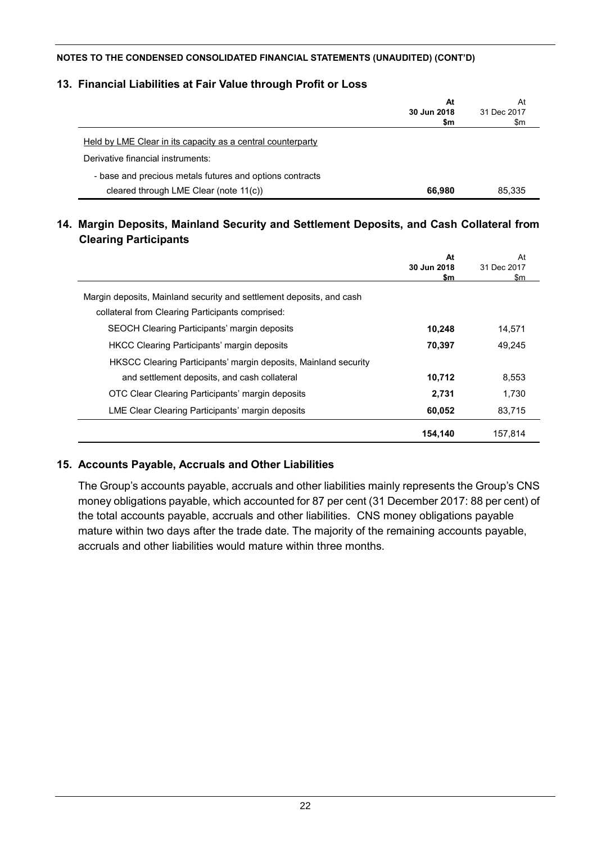### **13. Financial Liabilities at Fair Value through Profit or Loss**

|                                                             | At     | At          |
|-------------------------------------------------------------|--------|-------------|
| 30 Jun 2018                                                 |        | 31 Dec 2017 |
|                                                             | \$m    | \$m         |
| Held by LME Clear in its capacity as a central counterparty |        |             |
| Derivative financial instruments:                           |        |             |
| - base and precious metals futures and options contracts    |        |             |
| cleared through LME Clear (note 11(c))                      | 66,980 | 85.335      |

# **14. Margin Deposits, Mainland Security and Settlement Deposits, and Cash Collateral from Clearing Participants**

|                                                                      | At<br>30 Jun 2018<br>\$m | At<br>31 Dec 2017<br>\$m |
|----------------------------------------------------------------------|--------------------------|--------------------------|
| Margin deposits, Mainland security and settlement deposits, and cash |                          |                          |
| collateral from Clearing Participants comprised:                     |                          |                          |
| SEOCH Clearing Participants' margin deposits                         | 10,248                   | 14.571                   |
| <b>HKCC Clearing Participants' margin deposits</b>                   | 70,397                   | 49.245                   |
| HKSCC Clearing Participants' margin deposits, Mainland security      |                          |                          |
| and settlement deposits, and cash collateral                         | 10,712                   | 8.553                    |
| OTC Clear Clearing Participants' margin deposits                     | 2,731                    | 1.730                    |
| LME Clear Clearing Participants' margin deposits                     | 60,052                   | 83,715                   |
|                                                                      | 154,140                  | 157.814                  |

# **15. Accounts Payable, Accruals and Other Liabilities**

The Group's accounts payable, accruals and other liabilities mainly represents the Group's CNS money obligations payable, which accounted for 87 per cent (31 December 2017: 88 per cent) of the total accounts payable, accruals and other liabilities. CNS money obligations payable mature within two days after the trade date. The majority of the remaining accounts payable, accruals and other liabilities would mature within three months.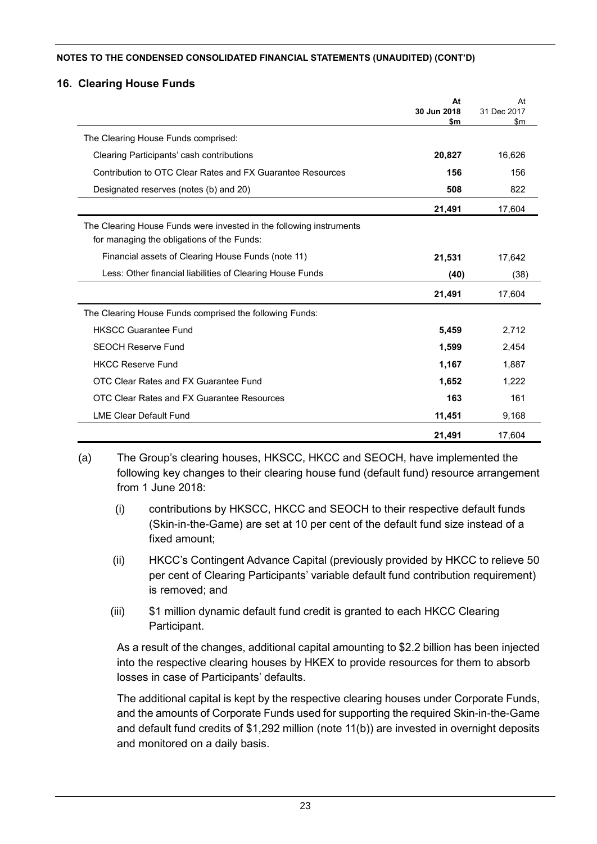#### **16. Clearing House Funds**

|                                                                                                                   | At<br>30 Jun 2018<br>\$m | At<br>31 Dec 2017<br>$\mathsf{sm}$ |
|-------------------------------------------------------------------------------------------------------------------|--------------------------|------------------------------------|
| The Clearing House Funds comprised:                                                                               |                          |                                    |
| Clearing Participants' cash contributions                                                                         | 20,827                   | 16,626                             |
| Contribution to OTC Clear Rates and FX Guarantee Resources                                                        | 156                      | 156                                |
| Designated reserves (notes (b) and 20)                                                                            | 508                      | 822                                |
|                                                                                                                   | 21,491                   | 17,604                             |
| The Clearing House Funds were invested in the following instruments<br>for managing the obligations of the Funds: |                          |                                    |
| Financial assets of Clearing House Funds (note 11)                                                                | 21,531                   | 17,642                             |
| Less: Other financial liabilities of Clearing House Funds                                                         | (40)                     | (38)                               |
|                                                                                                                   | 21,491                   | 17,604                             |
| The Clearing House Funds comprised the following Funds:                                                           |                          |                                    |
| <b>HKSCC Guarantee Fund</b>                                                                                       | 5,459                    | 2,712                              |
| <b>SEOCH Reserve Fund</b>                                                                                         | 1,599                    | 2,454                              |
| <b>HKCC Reserve Fund</b>                                                                                          | 1,167                    | 1,887                              |
| OTC Clear Rates and FX Guarantee Fund                                                                             | 1,652                    | 1.222                              |
| OTC Clear Rates and FX Guarantee Resources                                                                        | 163                      | 161                                |
| <b>LME Clear Default Fund</b>                                                                                     | 11,451                   | 9,168                              |
|                                                                                                                   | 21,491                   | 17,604                             |

(a) The Group's clearing houses, HKSCC, HKCC and SEOCH, have implemented the following key changes to their clearing house fund (default fund) resource arrangement from 1 June 2018:

- (i) contributions by HKSCC, HKCC and SEOCH to their respective default funds (Skin-in-the-Game) are set at 10 per cent of the default fund size instead of a fixed amount;
- (ii) HKCC's Contingent Advance Capital (previously provided by HKCC to relieve 50 per cent of Clearing Participants' variable default fund contribution requirement) is removed; and
- (iii) \$1 million dynamic default fund credit is granted to each HKCC Clearing Participant.

As a result of the changes, additional capital amounting to \$2.2 billion has been injected into the respective clearing houses by HKEX to provide resources for them to absorb losses in case of Participants' defaults.

The additional capital is kept by the respective clearing houses under Corporate Funds, and the amounts of Corporate Funds used for supporting the required Skin-in-the-Game and default fund credits of \$1,292 million (note 11(b)) are invested in overnight deposits and monitored on a daily basis.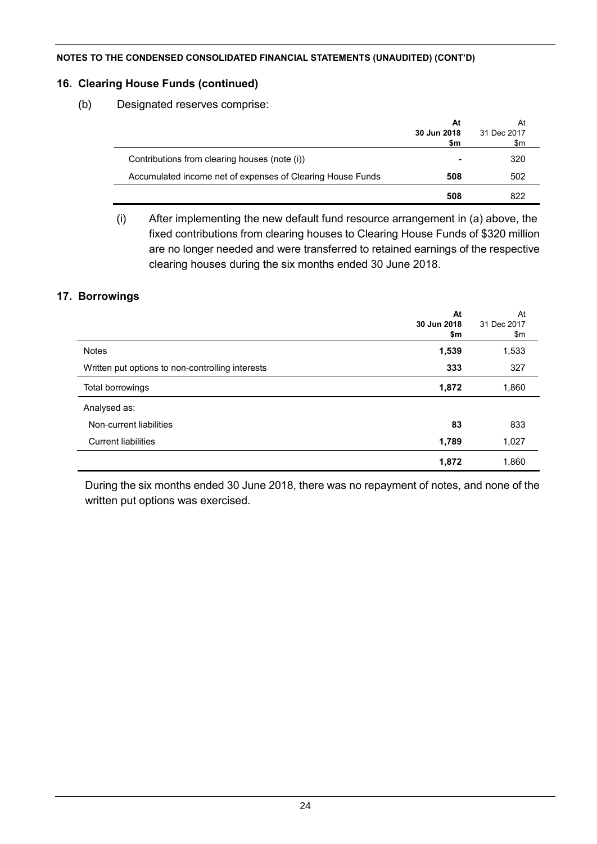### **16. Clearing House Funds (continued)**

(b) Designated reserves comprise:

|                                                            | At<br>30 Jun 2018<br>\$m | At<br>31 Dec 2017<br>\$m |
|------------------------------------------------------------|--------------------------|--------------------------|
| Contributions from clearing houses (note (i))              |                          | 320                      |
| Accumulated income net of expenses of Clearing House Funds | 508                      | 502                      |
|                                                            | 508                      | 822                      |

(i) After implementing the new default fund resource arrangement in (a) above, the fixed contributions from clearing houses to Clearing House Funds of \$320 million are no longer needed and were transferred to retained earnings of the respective clearing houses during the six months ended 30 June 2018.

# **17. Borrowings**

|                                                  | At<br>30 Jun 2018<br>\$m | At<br>31 Dec 2017<br>\$m |
|--------------------------------------------------|--------------------------|--------------------------|
| <b>Notes</b>                                     | 1,539                    | 1,533                    |
| Written put options to non-controlling interests | 333                      | 327                      |
| Total borrowings                                 | 1,872                    | 1,860                    |
| Analysed as:                                     |                          |                          |
| Non-current liabilities                          | 83                       | 833                      |
| <b>Current liabilities</b>                       | 1,789                    | 1,027                    |
|                                                  | 1,872                    | 1,860                    |

During the six months ended 30 June 2018, there was no repayment of notes, and none of the written put options was exercised.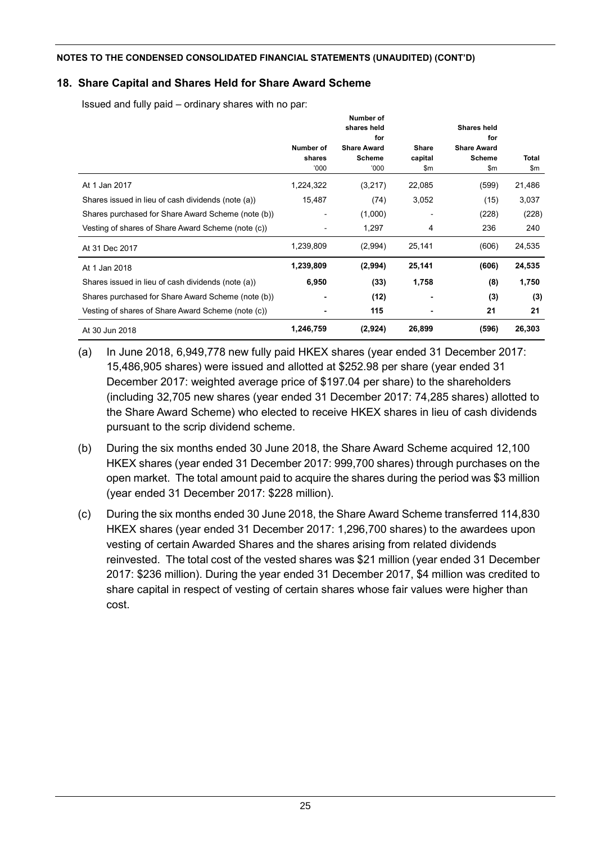# **18. Share Capital and Shares Held for Share Award Scheme**

Issued and fully paid – ordinary shares with no par:

|                                                    |                             | Number of<br>shares held                           |                                | <b>Shares held</b>                                |                     |
|----------------------------------------------------|-----------------------------|----------------------------------------------------|--------------------------------|---------------------------------------------------|---------------------|
|                                                    | Number of<br>shares<br>000' | for<br><b>Share Award</b><br><b>Scheme</b><br>000' | <b>Share</b><br>capital<br>\$m | for<br><b>Share Award</b><br><b>Scheme</b><br>\$m | <b>Total</b><br>\$m |
| At 1 Jan 2017                                      | 1,224,322                   | (3,217)                                            | 22,085                         | (599)                                             | 21,486              |
| Shares issued in lieu of cash dividends (note (a)) | 15,487                      | (74)                                               | 3,052                          | (15)                                              | 3,037               |
| Shares purchased for Share Award Scheme (note (b)) |                             | (1,000)                                            |                                | (228)                                             | (228)               |
| Vesting of shares of Share Award Scheme (note (c)) |                             | 1,297                                              | 4                              | 236                                               | 240                 |
| At 31 Dec 2017                                     | 1,239,809                   | (2,994)                                            | 25,141                         | (606)                                             | 24,535              |
| At 1 Jan 2018                                      | 1,239,809                   | (2,994)                                            | 25,141                         | (606)                                             | 24,535              |
| Shares issued in lieu of cash dividends (note (a)) | 6,950                       | (33)                                               | 1,758                          | (8)                                               | 1,750               |
| Shares purchased for Share Award Scheme (note (b)) |                             | (12)                                               |                                | (3)                                               | (3)                 |
| Vesting of shares of Share Award Scheme (note (c)) | $\blacksquare$              | 115                                                |                                | 21                                                | 21                  |
| At 30 Jun 2018                                     | 1,246,759                   | (2,924)                                            | 26,899                         | (596)                                             | 26,303              |

- (a) In June 2018, 6,949,778 new fully paid HKEX shares (year ended 31 December 2017: 15,486,905 shares) were issued and allotted at \$252.98 per share (year ended 31 December 2017: weighted average price of \$197.04 per share) to the shareholders (including 32,705 new shares (year ended 31 December 2017: 74,285 shares) allotted to the Share Award Scheme) who elected to receive HKEX shares in lieu of cash dividends pursuant to the scrip dividend scheme.
- (b) During the six months ended 30 June 2018, the Share Award Scheme acquired 12,100 HKEX shares (year ended 31 December 2017: 999,700 shares) through purchases on the open market. The total amount paid to acquire the shares during the period was \$3 million (year ended 31 December 2017: \$228 million).
- (c) During the six months ended 30 June 2018, the Share Award Scheme transferred 114,830 HKEX shares (year ended 31 December 2017: 1,296,700 shares) to the awardees upon vesting of certain Awarded Shares and the shares arising from related dividends reinvested. The total cost of the vested shares was \$21 million (year ended 31 December 2017: \$236 million). During the year ended 31 December 2017, \$4 million was credited to share capital in respect of vesting of certain shares whose fair values were higher than cost.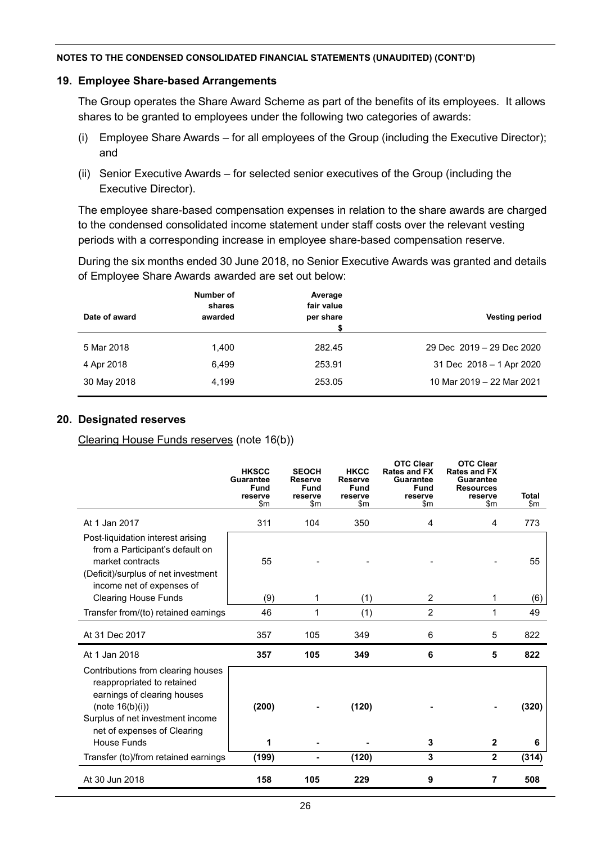#### **19. Employee Share-based Arrangements**

The Group operates the Share Award Scheme as part of the benefits of its employees. It allows shares to be granted to employees under the following two categories of awards:

- (i) Employee Share Awards for all employees of the Group (including the Executive Director); and
- (ii) Senior Executive Awards for selected senior executives of the Group (including the Executive Director).

The employee share-based compensation expenses in relation to the share awards are charged to the condensed consolidated income statement under staff costs over the relevant vesting periods with a corresponding increase in employee share-based compensation reserve.

During the six months ended 30 June 2018, no Senior Executive Awards was granted and details of Employee Share Awards awarded are set out below:

| Date of award | Number of<br>shares<br>awarded | Average<br>fair value<br>per share | <b>Vesting period</b>     |
|---------------|--------------------------------|------------------------------------|---------------------------|
| 5 Mar 2018    | 1.400                          | 282.45                             | 29 Dec 2019 - 29 Dec 2020 |
| 4 Apr 2018    | 6.499                          | 253.91                             | 31 Dec 2018 - 1 Apr 2020  |
| 30 May 2018   | 4.199                          | 253.05                             | 10 Mar 2019 - 22 Mar 2021 |

#### **20. Designated reserves**

Clearing House Funds reserves (note 16(b))

|                                                                                                                                                                                                                | <b>HKSCC</b><br><b>Guarantee</b><br><b>Fund</b><br>reserve<br>\$m | <b>SEOCH</b><br><b>Reserve</b><br><b>Fund</b><br>reserve<br>\$m | <b>HKCC</b><br><b>Reserve</b><br><b>Fund</b><br>reserve<br>\$m | <b>OTC Clear</b><br>Rates and FX<br><b>Guarantee</b><br><b>Fund</b><br>reserve<br>\$m | <b>OTC Clear</b><br><b>Rates and FX</b><br><b>Guarantee</b><br><b>Resources</b><br>reserve<br>\$m | <b>Total</b><br>\$m |
|----------------------------------------------------------------------------------------------------------------------------------------------------------------------------------------------------------------|-------------------------------------------------------------------|-----------------------------------------------------------------|----------------------------------------------------------------|---------------------------------------------------------------------------------------|---------------------------------------------------------------------------------------------------|---------------------|
| At 1 Jan 2017                                                                                                                                                                                                  | 311                                                               | 104                                                             | 350                                                            | 4                                                                                     | 4                                                                                                 | 773                 |
| Post-liquidation interest arising<br>from a Participant's default on<br>market contracts<br>(Deficit)/surplus of net investment<br>income net of expenses of                                                   | 55                                                                |                                                                 |                                                                |                                                                                       |                                                                                                   | 55                  |
| <b>Clearing House Funds</b>                                                                                                                                                                                    | (9)                                                               | 1                                                               | (1)                                                            | $\overline{c}$                                                                        | 1                                                                                                 | (6)                 |
| Transfer from/(to) retained earnings                                                                                                                                                                           | 46                                                                | 1                                                               | (1)                                                            | $\overline{2}$                                                                        | 1                                                                                                 | 49                  |
| At 31 Dec 2017                                                                                                                                                                                                 | 357                                                               | 105                                                             | 349                                                            | 6                                                                                     | 5                                                                                                 | 822                 |
| At 1 Jan 2018                                                                                                                                                                                                  | 357                                                               | 105                                                             | 349                                                            | 6                                                                                     | 5                                                                                                 | 822                 |
| Contributions from clearing houses<br>reappropriated to retained<br>earnings of clearing houses<br>(note $16(b)(i)$ )<br>Surplus of net investment income<br>net of expenses of Clearing<br><b>House Funds</b> | (200)<br>1                                                        |                                                                 | (120)                                                          | 3                                                                                     | $\mathbf{2}$                                                                                      | (320)<br>6          |
| Transfer (to)/from retained earnings                                                                                                                                                                           | (199)                                                             | -                                                               | (120)                                                          | 3                                                                                     | $\mathbf 2$                                                                                       | (314)               |
|                                                                                                                                                                                                                |                                                                   |                                                                 |                                                                |                                                                                       |                                                                                                   |                     |
| At 30 Jun 2018                                                                                                                                                                                                 | 158                                                               | 105                                                             | 229                                                            | 9                                                                                     | 7                                                                                                 | 508                 |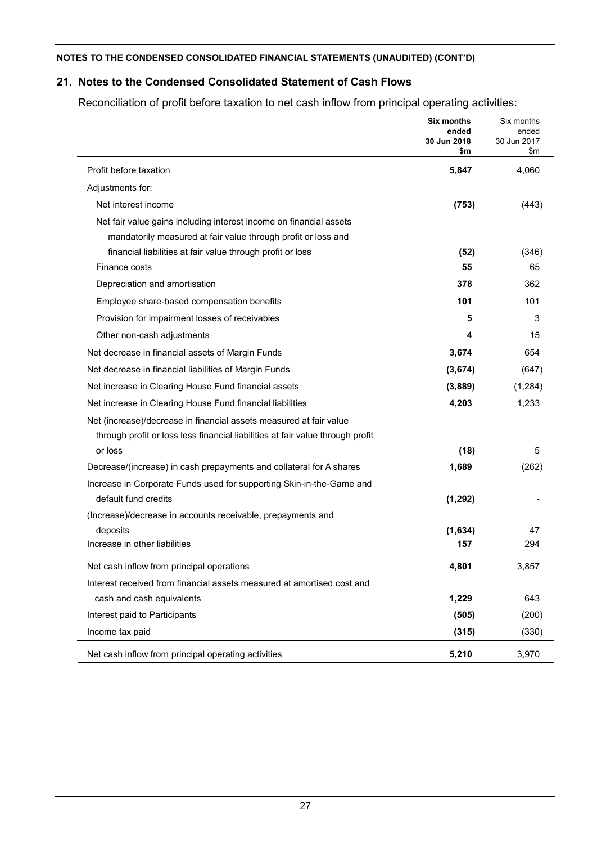# **21. Notes to the Condensed Consolidated Statement of Cash Flows**

Reconciliation of profit before taxation to net cash inflow from principal operating activities:

|                                                                                | Six months<br>ended<br>30 Jun 2018<br>\$m | Six months<br>ended<br>30 Jun 2017<br>\$m |
|--------------------------------------------------------------------------------|-------------------------------------------|-------------------------------------------|
| Profit before taxation                                                         | 5,847                                     | 4,060                                     |
| Adjustments for:                                                               |                                           |                                           |
| Net interest income                                                            | (753)                                     | (443)                                     |
| Net fair value gains including interest income on financial assets             |                                           |                                           |
| mandatorily measured at fair value through profit or loss and                  |                                           |                                           |
| financial liabilities at fair value through profit or loss                     | (52)                                      | (346)                                     |
| Finance costs                                                                  | 55                                        | 65                                        |
| Depreciation and amortisation                                                  | 378                                       | 362                                       |
| Employee share-based compensation benefits                                     | 101                                       | 101                                       |
| Provision for impairment losses of receivables                                 | 5                                         | 3                                         |
| Other non-cash adjustments                                                     | 4                                         | 15                                        |
| Net decrease in financial assets of Margin Funds                               | 3,674                                     | 654                                       |
| Net decrease in financial liabilities of Margin Funds                          | (3,674)                                   | (647)                                     |
| Net increase in Clearing House Fund financial assets                           | (3,889)                                   | (1,284)                                   |
| Net increase in Clearing House Fund financial liabilities                      | 4,203                                     | 1,233                                     |
| Net (increase)/decrease in financial assets measured at fair value             |                                           |                                           |
| through profit or loss less financial liabilities at fair value through profit |                                           |                                           |
| or loss                                                                        | (18)                                      | 5                                         |
| Decrease/(increase) in cash prepayments and collateral for A shares            | 1,689                                     | (262)                                     |
| Increase in Corporate Funds used for supporting Skin-in-the-Game and           |                                           |                                           |
| default fund credits                                                           | (1, 292)                                  |                                           |
| (Increase)/decrease in accounts receivable, prepayments and                    |                                           |                                           |
| deposits                                                                       | (1,634)                                   | 47                                        |
| Increase in other liabilities                                                  | 157                                       | 294                                       |
| Net cash inflow from principal operations                                      | 4,801                                     | 3,857                                     |
| Interest received from financial assets measured at amortised cost and         |                                           |                                           |
| cash and cash equivalents                                                      | 1,229                                     | 643                                       |
| Interest paid to Participants                                                  | (505)                                     | (200)                                     |
| Income tax paid                                                                | (315)                                     | (330)                                     |
| Net cash inflow from principal operating activities                            | 5,210                                     | 3,970                                     |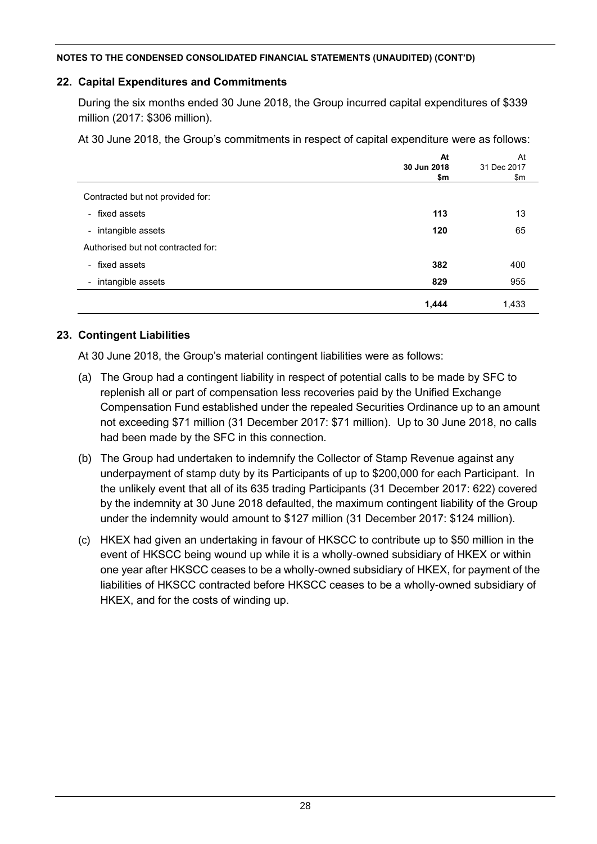### **22. Capital Expenditures and Commitments**

During the six months ended 30 June 2018, the Group incurred capital expenditures of \$339 million (2017: \$306 million).

At 30 June 2018, the Group's commitments in respect of capital expenditure were as follows:

|                                    | At          | At          |
|------------------------------------|-------------|-------------|
|                                    | 30 Jun 2018 | 31 Dec 2017 |
|                                    | \$m         | \$m         |
| Contracted but not provided for:   |             |             |
| - fixed assets                     | 113         | 13          |
| - intangible assets                | 120         | 65          |
| Authorised but not contracted for: |             |             |
| - fixed assets                     | 382         | 400         |
| - intangible assets                | 829         | 955         |
|                                    | 1,444       | 1,433       |

### **23. Contingent Liabilities**

At 30 June 2018, the Group's material contingent liabilities were as follows:

- (a) The Group had a contingent liability in respect of potential calls to be made by SFC to replenish all or part of compensation less recoveries paid by the Unified Exchange Compensation Fund established under the repealed Securities Ordinance up to an amount not exceeding \$71 million (31 December 2017: \$71 million). Up to 30 June 2018, no calls had been made by the SFC in this connection.
- (b) The Group had undertaken to indemnify the Collector of Stamp Revenue against any underpayment of stamp duty by its Participants of up to \$200,000 for each Participant. In the unlikely event that all of its 635 trading Participants (31 December 2017: 622) covered by the indemnity at 30 June 2018 defaulted, the maximum contingent liability of the Group under the indemnity would amount to \$127 million (31 December 2017: \$124 million).
- (c) HKEX had given an undertaking in favour of HKSCC to contribute up to \$50 million in the event of HKSCC being wound up while it is a wholly-owned subsidiary of HKEX or within one year after HKSCC ceases to be a wholly-owned subsidiary of HKEX, for payment of the liabilities of HKSCC contracted before HKSCC ceases to be a wholly-owned subsidiary of HKEX, and for the costs of winding up.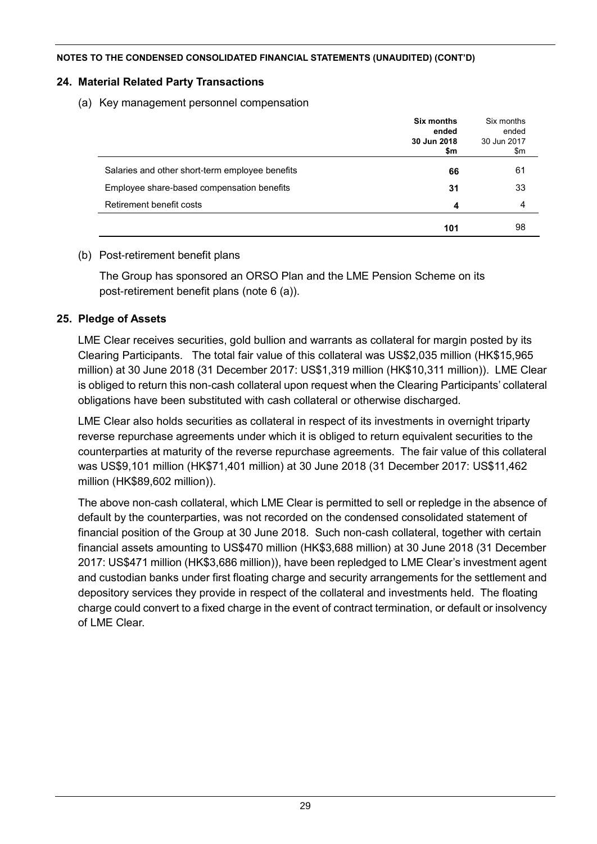### **24. Material Related Party Transactions**

(a) Key management personnel compensation

|                                                 | Six months<br>ended<br>30 Jun 2018<br>\$m | Six months<br>ended<br>30 Jun 2017<br>\$m |
|-------------------------------------------------|-------------------------------------------|-------------------------------------------|
| Salaries and other short-term employee benefits | 66                                        | 61                                        |
| Employee share-based compensation benefits      | 31                                        | 33                                        |
| Retirement benefit costs                        | 4                                         | 4                                         |
|                                                 | 101                                       | 98                                        |

# (b) Post-retirement benefit plans

The Group has sponsored an ORSO Plan and the LME Pension Scheme on its post-retirement benefit plans (note 6 (a)).

# **25. Pledge of Assets**

LME Clear receives securities, gold bullion and warrants as collateral for margin posted by its Clearing Participants. The total fair value of this collateral was US\$2,035 million (HK\$15,965 million) at 30 June 2018 (31 December 2017: US\$1,319 million (HK\$10,311 million)). LME Clear is obliged to return this non-cash collateral upon request when the Clearing Participants' collateral obligations have been substituted with cash collateral or otherwise discharged.

LME Clear also holds securities as collateral in respect of its investments in overnight triparty reverse repurchase agreements under which it is obliged to return equivalent securities to the counterparties at maturity of the reverse repurchase agreements. The fair value of this collateral was US\$9,101 million (HK\$71,401 million) at 30 June 2018 (31 December 2017: US\$11,462 million (HK\$89,602 million)).

The above non-cash collateral, which LME Clear is permitted to sell or repledge in the absence of default by the counterparties, was not recorded on the condensed consolidated statement of financial position of the Group at 30 June 2018. Such non-cash collateral, together with certain financial assets amounting to US\$470 million (HK\$3,688 million) at 30 June 2018 (31 December 2017: US\$471 million (HK\$3,686 million)), have been repledged to LME Clear's investment agent and custodian banks under first floating charge and security arrangements for the settlement and depository services they provide in respect of the collateral and investments held. The floating charge could convert to a fixed charge in the event of contract termination, or default or insolvency of LME Clear.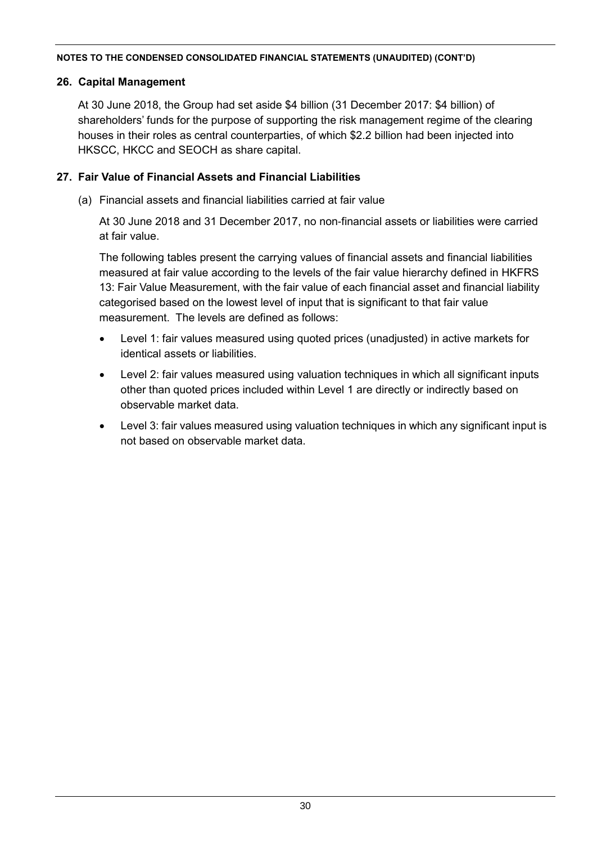# **26. Capital Management**

At 30 June 2018, the Group had set aside \$4 billion (31 December 2017: \$4 billion) of shareholders' funds for the purpose of supporting the risk management regime of the clearing houses in their roles as central counterparties, of which \$2.2 billion had been injected into HKSCC, HKCC and SEOCH as share capital.

# **27. Fair Value of Financial Assets and Financial Liabilities**

(a) Financial assets and financial liabilities carried at fair value

At 30 June 2018 and 31 December 2017, no non-financial assets or liabilities were carried at fair value.

The following tables present the carrying values of financial assets and financial liabilities measured at fair value according to the levels of the fair value hierarchy defined in HKFRS 13: Fair Value Measurement, with the fair value of each financial asset and financial liability categorised based on the lowest level of input that is significant to that fair value measurement. The levels are defined as follows:

- Level 1: fair values measured using quoted prices (unadjusted) in active markets for identical assets or liabilities.
- Level 2: fair values measured using valuation techniques in which all significant inputs other than quoted prices included within Level 1 are directly or indirectly based on observable market data.
- Level 3: fair values measured using valuation techniques in which any significant input is not based on observable market data.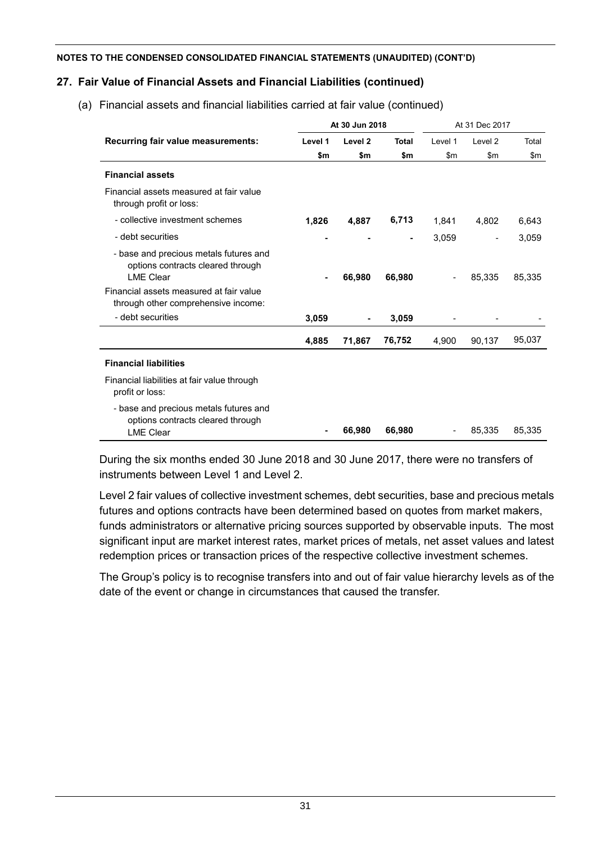# **27. Fair Value of Financial Assets and Financial Liabilities (continued)**

(a) Financial assets and financial liabilities carried at fair value (continued)

|                                                                                                 |         | At 30 Jun 2018     |        |               | At 31 Dec 2017 |        |
|-------------------------------------------------------------------------------------------------|---------|--------------------|--------|---------------|----------------|--------|
| Recurring fair value measurements:                                                              | Level 1 | Level <sub>2</sub> | Total  | Level 1       | Level 2        | Total  |
|                                                                                                 | \$m     | \$m                | \$m    | $\mathsf{Sm}$ | \$m            | \$m    |
| <b>Financial assets</b>                                                                         |         |                    |        |               |                |        |
| Financial assets measured at fair value<br>through profit or loss:                              |         |                    |        |               |                |        |
| - collective investment schemes                                                                 | 1,826   | 4,887              | 6,713  | 1,841         | 4,802          | 6,643  |
| - debt securities                                                                               |         |                    |        | 3,059         |                | 3,059  |
| - base and precious metals futures and<br>options contracts cleared through<br><b>LME Clear</b> |         | 66,980             | 66,980 |               | 85,335         | 85,335 |
| Financial assets measured at fair value<br>through other comprehensive income:                  |         |                    |        |               |                |        |
| - debt securities                                                                               | 3,059   |                    | 3,059  |               |                |        |
|                                                                                                 | 4,885   | 71,867             | 76,752 | 4,900         | 90,137         | 95,037 |
| <b>Financial liabilities</b>                                                                    |         |                    |        |               |                |        |
| Financial liabilities at fair value through<br>profit or loss:                                  |         |                    |        |               |                |        |
| - base and precious metals futures and<br>options contracts cleared through<br><b>LME Clear</b> |         | 66,980             | 66,980 |               | 85,335         | 85,335 |

During the six months ended 30 June 2018 and 30 June 2017, there were no transfers of instruments between Level 1 and Level 2.

Level 2 fair values of collective investment schemes, debt securities, base and precious metals futures and options contracts have been determined based on quotes from market makers, funds administrators or alternative pricing sources supported by observable inputs. The most significant input are market interest rates, market prices of metals, net asset values and latest redemption prices or transaction prices of the respective collective investment schemes.

The Group's policy is to recognise transfers into and out of fair value hierarchy levels as of the date of the event or change in circumstances that caused the transfer.